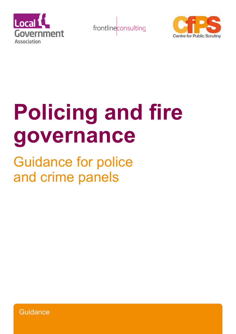





# **Policing and fire governance**

Guidance for police and crime panels

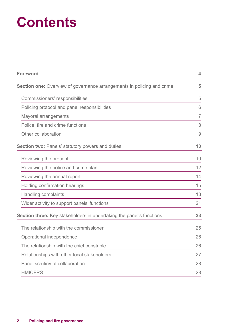## **Contents**

| <b>Foreword</b>                                                               | 4              |
|-------------------------------------------------------------------------------|----------------|
| <b>Section one:</b> Overview of governance arrangements in policing and crime | 5              |
| Commissioners' responsibilities                                               | 5              |
| Policing protocol and panel responsibilities                                  | 6              |
| Mayoral arrangements                                                          | $\overline{7}$ |
| Police, fire and crime functions                                              | 8              |
| Other collaboration                                                           | $\Theta$       |
| <b>Section two: Panels' statutory powers and duties</b>                       | 10             |
| Reviewing the precept                                                         | 10             |
| Reviewing the police and crime plan                                           | 12             |
| Reviewing the annual report                                                   | 14             |
| Holding confirmation hearings                                                 | 15             |
| <b>Handling complaints</b>                                                    | 18             |
| Wider activity to support panels' functions                                   | 21             |
| Section three: Key stakeholders in undertaking the panel's functions          | 23             |
| The relationship with the commissioner                                        | 25             |
| Operational independence                                                      | 26             |
| The relationship with the chief constable                                     | 26             |
| Relationships with other local stakeholders                                   | 27             |
| Panel scrutiny of collaboration                                               | 28             |
| <b>HMICFRS</b>                                                                | 28             |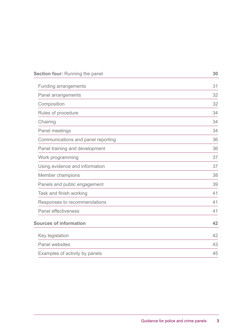| Section four: Running the panel    | 30 |
|------------------------------------|----|
| <b>Funding arrangements</b>        | 31 |
| Panel arrangements                 | 32 |
| Composition                        | 32 |
| Rules of procedure                 | 34 |
| Chairing                           | 34 |
| Panel meetings                     | 34 |
| Communications and panel reporting | 36 |
| Panel training and development     | 36 |
| Work programming                   | 37 |
| Using evidence and information     | 37 |
| Member champions                   | 38 |
| Panels and public engagement       | 39 |
| Task and finish working            | 41 |
| Responses to recommendations       | 41 |
| <b>Panel effectiveness</b>         | 41 |
| <b>Sources of information</b>      | 42 |
| Key legislation                    | 42 |
| Panel websites                     | 43 |
| Examples of activity by panels     | 45 |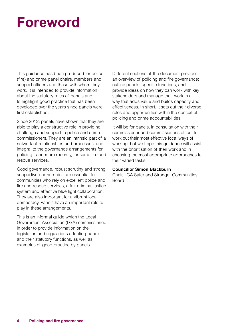## **Foreword**

This guidance has been produced for police (fire) and crime panel chairs, members and support officers and those with whom they work. It is intended to provide information about the statutory roles of panels and to highlight good practice that has been developed over the years since panels were first established.

Since 2012, panels have shown that they are able to play a constructive role in providing challenge and support to police and crime commissioners. They are an intrinsic part of a network of relationships and processes, and integral to the governance arrangements for policing - and more recently, for some fire and rescue services.

Good governance, robust scrutiny and strong supportive partnerships are essential for communities who rely on excellent police and fire and rescue services, a fair criminal justice system and effective blue light collaboration. They are also important for a vibrant local democracy. Panels have an important role to play in these arrangements.

This is an informal guide which the Local Government Association (LGA) commissioned in order to provide information on the legislation and regulations affecting panels and their statutory functions, as well as examples of good practice by panels.

Different sections of the document provide an overview of policing and fire governance; outline panels' specific functions; and provide ideas on how they can work with key stakeholders and manage their work in a way that adds value and builds capacity and effectiveness. In short, it sets out their diverse roles and opportunities within the context of policing and crime accountabilities.

It will be for panels, in consultation with their commissioner and commissioner's office, to work out their most effective local ways of working, but we hope this guidance will assist with the prioritisation of their work and in choosing the most appropriate approaches to their varied tasks.

#### **Councillor Simon Blackburn**

Chair, LGA Safer and Stronger Communities Board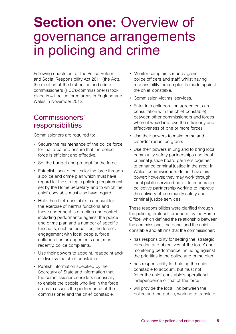## **Section one: Overview of** governance arrangements in policing and crime

Following enactment of the Police Reform and Social Responsibility Act 2011 (the Act), the election of the first police and crime commissioners (PCCs/commissioners) took place in 41 police force areas in England and Wales in November 2012.

## Commissioners' responsibilities

Commissioners are required to:

- Secure the maintenance of the police force for that area and ensure that the police force is efficient and effective.
- Set the budget and precept for the force.
- Establish local priorities for the force through a police and crime plan which must have regard for the strategic policing requirement set by the Home Secretary, and to which the chief constable must also have regard.
- Hold the chief constable to account for the exercise of her/his functions and those under her/his direction and control, including performance against the police and crime plan and a number of specific functions, such as equalities, the force's engagement with local people, force collaboration arrangements and, most recently, police complaints.
- Use their powers to appoint, reappoint and/ or dismiss the chief constable.
- Publish information specified by the Secretary of State and information that the commissioner considers necessary to enable the people who live in the force areas to assess the performance of the commissioner and the chief constable.
- Monitor complaints made against police officers and staff, whilst having responsibility for complaints made against the chief constable.
- Commission victims' services.
- Enter into collaboration agreements (in consultation with the chief constable) between other commissioners and forces where it would improve the efficiency and effectiveness of one or more forces.
- Use their powers to make crime and disorder reduction grants
- Use their powers in England to bring local community safety partnerships and local criminal justice board partners together to enhance criminal justice in the area. In Wales, commissioners do not have this power; however, they may work through local public service boards to encourage collective partnership working to improve the delivery of community safety and criminal justice services.

These responsibilities were clarified through the policing protocol, produced by the Home Office, which defined the relationship between the commissioner, the panel and the chief constable and affirms that the commissioner:

- has responsibility for setting the 'strategic direction and objectives of the force' and monitoring performance including against the priorities in the police and crime plan
- has responsibility for holding the chief constable to account, but must not fetter the chief constable's operational independence or that of the force
- will provide the local link between the police and the public, working to translate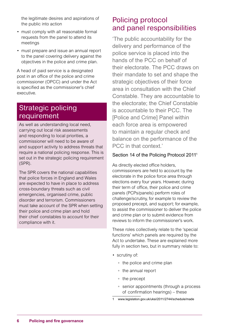the legitimate desires and aspirations of the public into action

- must comply with all reasonable formal requests from the panel to attend its meetings
- must prepare and issue an annual report to the panel covering delivery against the objectives in the police and crime plan.

A head of paid service is a designated post in an office of the police and crime commissioner (OPCC) and under the Act is specified as the commissioner's chief executive.

### Strategic policing requirement

As well as understanding local need, carrying out local risk assessments and responding to local priorities, a commissioner will need to be aware of and support activity to address threats that require a national policing response. This is set out in the strategic policing requirement (SPR).

The SPR covers the national capabilities that police forces in England and Wales are expected to have in place to address cross-boundary threats such as civil emergencies, organised crime, public disorder and terrorism. Commissioners must take account of the SPR when setting their police and crime plan and hold their chief constables to account for their compliance with it.

## Policing protocol and panel responsibilities

'The public accountability for the delivery and performance of the police service is placed into the hands of the PCC on behalf of their electorate. The PCC draws on their mandate to set and shape the strategic objectives of their force area in consultation with the Chief Constable. They are accountable to the electorate; the Chief Constable is accountable to their PCC. The [Police and Crime] Panel within each force area is empowered to maintain a regular check and balance on the performance of the PCC in that context.'

#### Section 14 of the Policing Protocol 2011<sup>1</sup>

As directly elected office holders, commissioners are held to account by the electorate in the police force area through elections every four years. However, during their term of office, their police and crime panels (PCPs/panels) perform roles of challenge/scrutiny, for example to review the proposed precept, and support; for example, to assist the commissioner to deliver the police and crime plan or to submit evidence from reviews to inform the commissioner's work.

These roles collectively relate to the 'special functions' which panels are required by the Act to undertake. These are explained more fully in section two, but in summary relate to:

- scrutiny of:
	- the police and crime plan
	- the annual report
	- the precept
	- senior appointments (through a process of confirmation hearings) – these
- www.legislation.gov.uk/uksi/2011/2744/schedule/made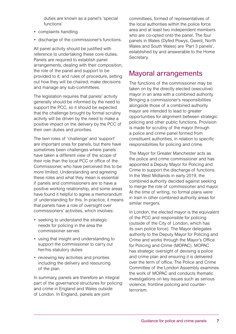duties are known as a panel's 'special functions'

- complaints handling
- discharge of the commissioner's functions.

All panel activity should be justified with reference to undertaking these core duties. Panels are required to establish panel arrangements, dealing with their composition, the role of the panel and support to be provided to it; and rules of procedure, setting out how they will be chaired, make decisions and manage any sub-committees.

The legislation requires that panels' activity generally should be informed by the need to support the PCC, so it should be expected that the challenge brought by formal scrutiny activity will be driven by the need to make a positive impact on the delivery by the PCC of their own duties and priorities.

The twin roles of 'challenge' and 'support' are important ones for panels, but there have sometimes been challenges where panels have taken a different view of the scope of their role than the local PCC or office of the Commissioner, who have perceived this to be more limited. Understanding and agreeing these roles and what they mean is essential if panels and commissioners are to have a positive working relationship, and some areas have found it helpful to agree a memorandum of understanding for this. In practice, it means that panels have a role of oversight over commissioners' activities, which involves:

- seeking to understand the strategic needs for policing in the area the commissioner serves
- using that insight and understanding to support the commissioner to carry out her/his statutory duties
- reviewing key activities and priorities including the delivery and resourcing of the plan.

In summary, panels are therefore an integral part of the governance structures for policing and crime in England and Wales outside of London. In England, panels are joint

committees, formed of representatives of the local authorities within the police force area and at least two independent members who are co-opted onto the panel. The four panels in Wales (Dyfed Powys, Gwent, North Wales and South Wales) are 'Part 3 panels', established by and answerable to the Home Secretary.

### Mayoral arrangements

The functions of the commissioner may be taken on by the directly elected (executive) mayor in an area with a combined authority. Bringing a commissioner's responsibilities alongside those of a combined authority mayor are intended to lead to greater opportunities for alignment between strategic policing and other public functions. Provision is made for scrutiny of the mayor through a police and crime panel formed from constituent authorities, in relation to specific responsibilities for policing and crime.

The Mayor for Greater Manchester acts as the police and crime commissioner and has appointed a Deputy Mayor for Policing and Crime to support the discharge of functions. In the West Midlands in early 2019, the combined authority decided against seeking to merge the role of commissioner and mayor. At the time of writing, no formal plans were in train in other combined authority areas for similar mergers.

In London, the elected mayor is the equivalent of the PCC and responsible for policing (outside of the City of London, which has its own police force). The Mayor delegates authority to the Deputy Mayor for Policing and Crime and works through the Mayor's Office for Policing and Crime (MOPAC). MOPAC has strategic oversight of devising a police and crime plan and ensuring it is delivered over the term of office. The Police and Crime Committee of the London Assembly examines the work of MOPAC and conducts thematic investigations on key issues such as serious violence, frontline policing and counterterrorism.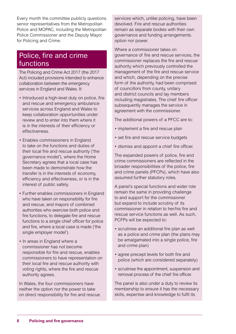Every month the committee publicly questions senior representatives from the Metropolitan Police and MOPAC, including the Metropolitan Police Commissioner and the Deputy Mayor for Policing and Crime.

## Police, fire and crime functions

The Policing and Crime Act 2017 (the 2017 Act) included provisions intended to enhance collaboration between the emergency services in England and Wales. It:

- Introduced a high-level duty on police, fire and rescue and emergency ambulance services across England and Wales to keep collaboration opportunities under review and to enter into them where it is in the interests of their efficiency or effectiveness.
- Enables commissioners in England to take on the functions and duties of their local fire and rescue authority ('the governance model'), where the Home Secretary agrees that a local case has been made to demonstrate how the transfer is in the interests of economy, efficiency and effectiveness, or is in the interest of public safety.
- Further enables commissioners in England who have taken on responsibility for fire and rescue, and mayors of combined authorities who exercise both police and fire functions, to delegate fire and rescue functions to a single chief officer for police and fire, where a local case is made ('the single employer model').
- In areas in England where a commissioner has not become responsible for fire and rescue, enables commissioners to have representation on their local fire and rescue authority with voting rights, where the fire and rescue authority agrees.

In Wales, the four commissioners have neither the option nor the power to take on direct responsibility for fire and rescue services which, unlike policing, have been devolved. Fire and rescue authorities remain as separate bodies with their own governance and funding arrangements. option nor power.

Where a commissioner takes on governance of fire and rescue services, the commissioner replaces the fire and rescue authority which previously controlled the management of the fire and rescue service and which, depending on the precise form of the authority, had been comprised of councillors from county, unitary and district councils and lay members including magistrates. The chief fire officer subsequently manages the service in agreement with the commissioner.

The additional powers of a PFCC are to:

- implement a fire and rescue plan
- set fire and rescue service budgets
- dismiss and appoint a chief fire officer.

The expanded powers of police, fire and crime commissioners are reflected in the broader responsibilities of the police, fire and crime panels (PFCPs), which have also assumed further statutory roles.

A panel's special functions and wider role remain the same in providing challenge to and support for the commissioner but expand to include scrutiny of its commissioner in relation to her/his fire and rescue service functions as well. As such, PCFPs will be expected to:

- scrutinise an additional fire plan as well as a police and crime plan (the plans may be amalgamated into a single police, fire and crime plan)
- agree precept levels for both fire and police (which are considered separately)
- scrutinise the appointment, suspension and removal process of the chief fire officer.

The panel is also under a duty to review its membership to ensure it has the necessary skills, expertise and knowledge to fulfil its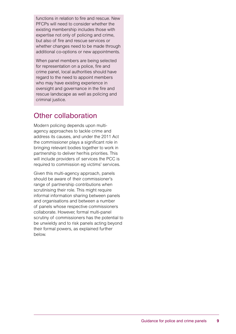functions in relation to fire and rescue. New PFCPs will need to consider whether the existing membership includes those with expertise not only of policing and crime, but also of fire and rescue services or whether changes need to be made through additional co-options or new appointments.

When panel members are being selected for representation on a police, fire and crime panel, local authorities should have regard to the need to appoint members who may have existing experience in oversight and governance in the fire and rescue landscape as well as policing and criminal justice.

## Other collaboration

Modern policing depends upon multiagency approaches to tackle crime and address its causes, and under the 2011 Act the commissioner plays a significant role in bringing relevant bodies together to work in partnership to deliver her/his priorities. This will include providers of services the PCC is required to commission eg victims' services.

Given this multi-agency approach, panels should be aware of their commissioner's range of partnership contributions when scrutinising their role. This might require informal information sharing between panels and organisations and between a number of panels whose respective commissioners collaborate. However, formal multi-panel scrutiny of commissioners has the potential to be unwieldy and to risk panels acting beyond their formal powers, as explained further below.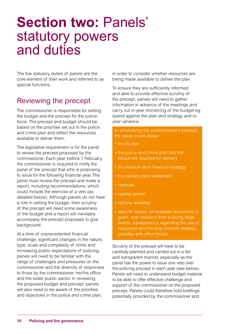## **Section two:** Panels' statutory powers and duties

The five statutory duties of panels are the core element of their work and referred to as special functions.

## Reviewing the precept

The commissioner is responsible for setting the budget and the precept for the police force. The precept and budget should be based on the priorities set out in the police and crime plan and reflect the resources available to deliver them.

The legislative requirement is for the panel to review the precept proposed by the commissioner. Each year, before 1 February, the commissioner is required to notify the panel of the precept that s/he is proposing to issue for the following financial year. The panel must review the precept and make a report, including recommendations, which could include the exercise of a veto (as detailed below). Although panels do not have a role in setting the budget, their scrutiny of the precept will need some awareness of the budget and a report will inevitably accompany the precept proposals to give background.

At a time of unprecedented financial challenge, significant changes in the nature, type, scale and complexity of crime and increasing public expectations of policing, panels will need to be familiar with the range of challenges and pressures on the commissioner and the diversity of responses to those by the commissioner, her/his office and the wider public sector. In reviewing the proposed budget and precept, panels will also need to be aware of the priorities and objectives in the police and crime plan,

in order to consider whether resources are being made available to deliver the plan.

To ensure they are sufficiently informed and able to provide effective scrutiny of the precept, panels will need to gather information in advance of the meetings and carry out in-year monitoring of the budget eg spend against the plan and strategy and inyear variance.

In scrutinising the commissioner's precept, the panel could review:

- the budget
- the police and crime plan and the resources required for delivery
- the medium-term financial strategy
- the overall police settlement
- reserves
- capital spend
- options available
- specific issues, for example reductions in grant, cost recovery from policing large events, transparency regarding the use of resources and the procurement strategy, possibly with other forces.

Scrutiny of the precept will have to be carefully planned and carried out in a fair and transparent manner, especially as the panel has the power to issue one veto over the policing precept in each year (see below). Panels will need to understand budget material to be able to offer effective challenge and support of the commissioner on the proposed precept. Panels could therefore hold briefings potentially provided by the commissioner and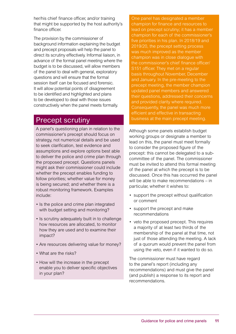her/his chief finance officer, and/or training that might be supported by the host authority's finance officer.

The provision by the commissioner of background information explaining the budget and precept proposals will help the panel to direct its scrutiny effectively. Informal liaison, in advance of the formal panel meeting where the budget is to be discussed, will allow members of the panel to deal with general, exploratory questions and will ensure that the formal session itself can be focused and forensic. It will allow potential points of disagreement to be identified and highlighted and plans to be developed to deal with those issues constructively when the panel meets formally.

## Precept scrutiny

A panel's questioning plan in relation to the commissioner's precept should focus on strategy, not numerical details and be used to seek clarification, test evidence and assumptions and explore options best able to deliver the police and crime plan through the proposed precept. Questions panels might ask their commissioner could include whether the precept enables funding to follow priorities; whether value for money is being secured; and whether there is a robust monitoring framework. Examples include:

- Is the police and crime plan integrated with budget setting and monitoring?
- Is scrutiny adequately built in to challenge how resources are allocated, to monitor how they are used and to examine their impact?
- Are resources delivering value for money?
- What are the risks?
- How will the increase in the precept enable you to deliver specific objectives in your plan?

One panel has designated a member champion for finance and resources to lead on precept scrutiny; it has a member champion for each of the commissioner's five priorities in his plan. In 2018/19 and 2019/20, the precept setting process was much improved as the member champion was in close dialogue with the commissioner's chief finance officer/ S151 officer. They met on a regular basis throughout November, December and January. In the pre-meeting to the precept meeting, the member champion updated panel members and answered their questions, addressed their concerns and provided clarity where required. Consequently, the panel was much more efficient and effective in transacting business at the main precept meeting.

Although some panels establish budget working groups or designate a member to lead on this, the panel must meet formally to consider the proposed figure of the precept: this cannot be delegated to a subcommittee of the panel. The commissioner must be invited to attend this formal meeting of the panel at which the precept is to be discussed. Once this has occurred the panel will be able to make recommendations – in particular, whether it wishes to:

- support the precept without qualification or comment
- support the precept and make recommendations
- veto the proposed precept. This requires a majority of at least two thirds of the membership of the panel at that time, not just of those attending the meeting. A lack of a quorum would prevent the panel from using the veto, even if it wanted to do so.

The commissioner must have regard to the panel's report (including any recommendations) and must give the panel (and publish) a response to its report and recommendations.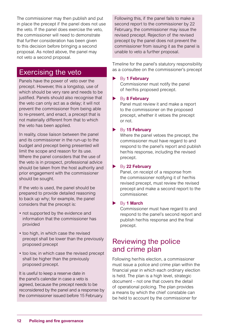The commissioner may then publish and put in place the precept if the panel does not use the veto. If the panel does exercise the veto, the commissioner will need to demonstrate that further consideration has been given to this decision before bringing a second proposal. As noted above, the panel may not veto a second proposal.

#### Exercising the veto

Panels have the power of veto over the precept. However, this a longstop, use of which should be very rare and needs to be justified. Panels should also recognise that the veto can only act as a delay; it will not prevent the commissioner from being able to re-present, and enact, a precept that is not materially different from that to which the veto has been applied.

In reality, close liaison between the panel and its commissioner in the run-up to the budget and precept being presented will limit the scope and reason for its use. Where the panel considers that the use of the veto is in prospect, professional advice should be taken from the host authority and prior engagement with the commissioner should be sought.

If the veto is used, the panel should be prepared to provide detailed reasoning to back up why; for example, the panel considers that the precept is:

- not supported by the evidence and information that the commissioner has provided
- too high, in which case the revised precept shall be lower than the previously proposed precept
- too low, in which case the revised precept shall be higher than the previously proposed precept.

It is useful to keep a reserve date in the panel's calendar in case a veto is agreed, because the precept needs to be reconsidered by the panel and a response by the commissioner issued before 15 February.

Following this, if the panel fails to make a second report to the commissioner by 22 February, the commissioner may issue the revised precept. Rejection of the revised precept by the panel does not prevent the commissioner from issuing it as the panel is unable to veto a further proposal.

Timeline for the panel's statutory responsibility as a consultee on the commissioner's precept

#### By 1 February

Commissioner must notify the panel of her/his proposed precept.

#### By 8 February

Panel must review it and make a report to the commissioner on the proposed precept, whether it vetoes the precept or not.

#### By 15 February

Where the panel vetoes the precept, the commissioner must have regard to and respond to the panel's report and publish her/his response, including the revised precept.

#### By 22 February

Panel, on receipt of a response from the commissioner notifying it of her/his revised precept, must review the revised precept and make a second report to the commissioner.

#### **By 1 March**

Commissioner must have regard to and respond to the panel's second report and publish her/his response and the final precept.

### Reviewing the police and crime plan

Following her/his election, a commissioner must issue a police and crime plan within the financial year in which each ordinary election is held. The plan is a high level, strategic document – not one that covers the detail of operational policing. The plan provides a means by which the chief constable can be held to account by the commissioner for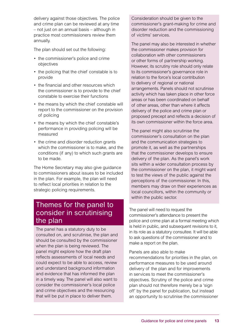delivery against those objectives. The police and crime plan can be reviewed at any time – not just on an annual basis – although in practice most commissioners review them annually.

The plan should set out the following:

- the commissioner's police and crime objectives
- the policing that the chief constable is to provide
- the financial and other resources which the commissioner is to provide to the chief constable to exercise their functions
- the means by which the chief constable will report to the commissioner on the provision of policing
- the means by which the chief constable's performance in providing policing will be measured
- the crime and disorder reduction grants which the commissioner is to make, and the conditions (if any) to which such grants are to be made.

The Home Secretary may also give guidance to commissioners about issues to be included in the plan. For example, the plan will need to reflect local priorities in relation to the strategic policing requirements.

## Themes for the panel to consider in scrutinising the plan

The panel has a statutory duty to be consulted on, and scrutinise, the plan and should be consulted by the commissioner when the plan is being reviewed. The panel might explore how the draft plan reflects assessments of local needs and could expect to be able to access, review and understand background information and evidence that has informed the plan in a timely way. The panel will also want to consider the commissioner's local police and crime objectives and the resourcing that will be put in place to deliver them.

Consideration should be given to the commissioner's grant-making for crime and disorder reduction and the commissioning of victims' services.

The panel may also be interested in whether the commissioner makes provision for collaboration with other commissioners or other forms of partnership working. However, its scrutiny role should only relate to its commissioner's governance role in relation to the force's local contribution to delivery of regional or national arrangements. Panels should not scrutinise activity which has taken place in other force areas or has been coordinated on behalf of other areas, other than where it affects delivery of the police and crime plan or proposed precept and reflects a decision of its own commissioner within the force area.

The panel might also scrutinise the commissioner's consultation on the plan and the communication strategies to promote it, as well as the partnerships that the commissioner develops to ensure delivery of the plan. As the panel's work sits within a wider consultation process by the commissioner on the plan, it might want to test the views of the public against the perceptions of the commissioner. In this, members may draw on their experiences as local councillors, within the community or within the public sector.

The panel will need to request the commissioner's attendance to present the police and crime plan at a formal meeting which is held in public, and subsequent revisions to it, in its role as a statutory consultee. It will be able to ask questions of the commissioner and to make a report on the plan.

Panels are also able to make recommendations for priorities in the plan, on performance measures to be used around delivery of the plan and for improvements in services to meet the commissioner's objectives. Scrutiny of the police and crime plan should not therefore merely be a 'sign off' by the panel for publication, but instead an opportunity to scrutinise the commissioner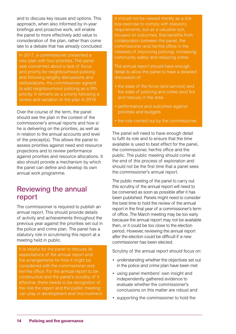and to discuss key issues and options. This approach, when also informed by in-year briefings and proactive work, will enable the panel to more effectively add value to consideration of the plan, rather than come late to a debate that has already concluded.

In 2017, a commissioner presented a new plan with four priorities. The panel was concerned about a lack of focus and priority for neighbourhood policing and following lengthy discussions and deliberations, the commissioner agreed to add neighbourhood policing as a fifth priority. It remains as a priority following a review and variation of the plan in 2019.

Over the course of the term, the panel should see the plan in the context of the commissioner's annual reports and how s/ he is delivering on the priorities, as well as in relation to the annual accounts and level of the precept(s). This allows the panel to assess priorities against need and resource projections and to review performance against priorities and resource allocations. It also should provide a mechanism by which the panel can define and develop its own annual work programme.

## Reviewing the annual report

The commissioner is required to publish an annual report. This should provide details of activity and achievements throughout the previous year against the priorities set out in the police and crime plan. The panel has a statutory role in scrutinising this report at a meeting held in public.

It is helpful for the panel to discuss its expectations of the annual report and the arrangements for how it might be considered with the commissioner and her/his office. For the annual report to be constructive and the panel's scrutiny of it effective, there needs to be recognition of the role the report and the public meeting can play in development and improvement. It should not be viewed merely as a tick box exercise to comply with statutory requirements, but as a valuable tool, focused on outcomes, that benefits from collaboration between the panel, the commissioner and her/his office in the interests of improving policing, increasing community safety and reducing crime.

The annual report should have enough detail to allow the panel to have a detailed discussion of:

- the state of the force (and service) and the state of policing and crime (and fire and rescue) in the area
- performance and outcomes against priorities and budgets
- the role carried out by the commissioner.

The panel will need to have enough detail to fulfil its role and to ensure that the time available is used to best effect for the panel, the commissioner, her/his office and the public. The public meeting should come at the end of this process of exploration and should not be the first time that a panel sees the commissioner's annual report.

The public meeting of the panel to carry out this scrutiny of the annual report will need to be convened as soon as possible after it has been published. Panels might need to consider the best time to hold the review of the annual report in the final year of a commissioner's term of office. The March meeting may be too early because the annual report may not be available then, or it could be too close to the election period. However, reviewing the annual report after the election could be difficult if a new commissioner has been elected.

Scrutiny of the annual report should focus on:

- understanding whether the objectives set out in the police and crime plan have been met
- using panel members' own insight and independently gathered evidence to evaluate whether the commissioner's conclusions on this matter are robust and
- supporting the commissioner to hold the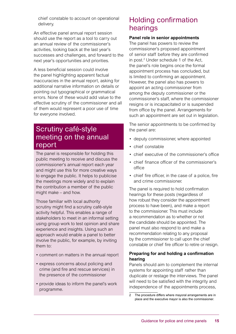chief constable to account on operational delivery.

An effective panel annual report session should use the report as a tool to carry out an annual review of the commissioner's activities, looking back at the last year's successes and challenges, and forward to the next year's opportunities and priorities.

A less beneficial session could involve the panel highlighting apparent factual inaccuracies in the annual report, asking for additional narrative information on details or pointing out typographical or grammatical errors. None of these would add value to the effective scrutiny of the commissioner and all of them would represent a poor use of time for everyone involved.

## Scrutiny café-style meeting on the annual report

The panel is responsible for holding this public meeting to receive and discuss the commissioner's annual report each year and might use this for more creative ways to engage the public. It helps to publicise the meetings more widely and to explain the contribution a member of the public might make – and how.

Those familiar with local authority scrutiny might find a scrutiny café-style activity helpful. This enables a range of stakeholders to meet in an informal setting using group work to test opinion and share experience and insights. Using such an approach would enable a panel to better involve the public, for example, by inviting them to:

- comment on matters in the annual report
- express concerns about policing and crime (and fire and rescue services) in the presence of the commissioner
- provide ideas to inform the panel's work programme.

## Holding confirmation hearings

#### **Panel role in senior appointments**

The panel has powers to review the commissioner's proposed appointment of senior staff before they are confirmed in post.2 Under schedule 1 of the Act, the panel's role begins once the formal appointment process has concluded, but is limited to confirming an appointment. However, the panel also has powers to appoint an acting commissioner from among the deputy commissioner or the commissioner's staff, where the commissioner resigns or is incapacitated or is suspended from office by the panel. Arrangements for such an appointment are set out in legislation.

The senior appointments to be confirmed by the panel are:

- deputy commissioner, where appointed
- chief constable
- chief executive of the commissioner's office
- chief finance officer of the commissioner's office
- chief fire officer, in the case of a police, fire and crime commissioner.

The panel is required to hold confirmation hearings for these posts (regardless of how robust they consider the appointment process to have been), and make a report to the commissioner. This must include a recommendation as to whether or not the candidate should be appointed. The panel must also respond to and make a recommendation relating to any proposal by the commissioner to call upon the chief constable or chief fire officer to retire or resign.

#### **Preparing for and holding a confirmation hearing**

Panels should aim to complement the internal systems for appointing staff rather than duplicate or restage the interviews. The panel will need to be satisfied with the integrity and independence of the appointments process,

2 The procedure differs where mayoral arrangements are in place and the executive mayor is also the commissioner.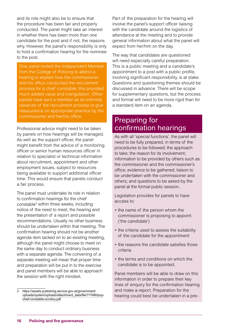and its role might also be to ensure that the procedure has been fair and properly conducted. The panel might take an interest in whether there has been more than one candidate for the post and if not, the reasons why. However, the panel's responsibility is only to hold a confirmation hearing for the nominee to the post.

One panel invited the Independent Member from the College of Policing to attend a hearing to explain how the commissioner and his office conducted the recruitment process for a chief constable; this provided much added value and triangulation. Other panels have sent a member as an informal observer of the recruitment process to give reassurance on appropriate practice by the commissioner and her/his office.

Professional advice might need to be taken by panels on how hearings will be managed. As well as the support officer, the panel might benefit from the advice of a monitoring officer or senior human resources officer in relation to specialist or technical information about recruitment, appointment and other employment issues, subject to resources being available to support additional officer time. This would ensure that panels conduct a fair process.

The panel must undertake its role in relation to confirmation hearings for the chief constable<sup>3</sup> within three weeks, including notice of the need to meet, the hearing and the presentation of a report and possible recommendations. Usually no other business should be undertaken within that meeting. The confirmation hearing should not be another agenda item tacked on to an existing meeting, although the panel might choose to meet on the same day to conduct ordinary business with a separate agenda. The convening of a separate meeting will mean that proper time and preparation will be put in to the exercise and panel members will be able to approach the session with the right mindset.

Part of the preparation for the hearing will involve the panel's support officer liaising with the candidate around the logistics of attendance at the meeting and to provide general information about what the panel will expect from her/him on the day.

The way that candidates are questioned will need especially careful preparation. This is a public meeting and a candidate's appointment to a post with a public profile, involving significant responsibility, is at stake. Questions and questioning themes should be discussed in advance. There will be scope for supplementary questions, but the process and format will need to be more rigid than for a standard item on an agenda.

## Preparing for confirmation hearings

As with all 'special functions', the panel will need to be fully prepared, in terms of the procedures to be followed; the approach to take; the reason for its involvement; information to be provided by others such as the commissioner and the commissioner's office; evidence to be gathered; liaison to be undertaken with the commissioner and others; and questions to be asked by the panel at the formal public session.

Legislation provides for panels to have access to:

- the name of the person whom the commissioner is proposing to appoint ('the candidate')
- the criteria used to assess the suitability of the candidate for the appointment
- the reasons the candidate satisfies those criteria
- the terms and conditions on which the candidate is to be appointed.

Panel members will be able to draw on this information in order to prepare their key lines of enquiry for the confirmation hearing and make a report. Preparation for the hearing could best be undertaken in a pre-

<sup>3</sup> [https://assets.publishing.service.gov.uk/government/](https://assets.publishing.service.gov.uk/government/uploads/system/uploads/attachment_data/file/117480/pcp-chief-constable-scrutiny.pdf) [uploads/system/uploads/attachment\\_data/file/117480/pcp](https://assets.publishing.service.gov.uk/government/uploads/system/uploads/attachment_data/file/117480/pcp-chief-constable-scrutiny.pdf)[chief-constable-scrutiny.pdf](https://assets.publishing.service.gov.uk/government/uploads/system/uploads/attachment_data/file/117480/pcp-chief-constable-scrutiny.pdf)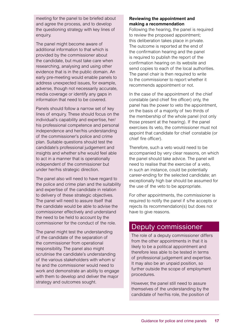meeting for the panel to be briefed about and agree the process, and to develop the questioning strategy with key lines of enquiry.

The panel might become aware of additional information to that which is provided by the commissioner about the candidate, but must take care when researching, analysing and using other evidence that is in the public domain. An early pre-meeting would enable panels to address unexpected issues, for example, adverse, though not necessarily accurate, media coverage or identify any gaps in information that need to be covered.

Panels should follow a narrow set of key lines of enquiry. These should focus on the individual's capability and expertise, her/ his professional competence and personal independence and her/his understanding of the commissioner's police and crime plan. Suitable questions should test the candidate's professional judgement and insights and whether s/he would feel able to act in a manner that is operationally independent of the commissioner but under her/his strategic direction.

The panel also will need to have regard to the police and crime plan and the suitability and expertise of the candidate in relation to delivery of these strategic objectives. The panel will need to assure itself that the candidate would be able to advise the commissioner effectively and understand the need to be held to account by the commissioner for the conduct of the role.

The panel might test the understanding of the candidate of the separation of the commissioner from operational responsibility. The panel also might scrutinise the candidate's understanding of the various stakeholders with whom s/ he and the commissioner would need to work and demonstrate an ability to engage with them to develop and deliver the major strategy and outcomes sought.

#### **Reviewing the appointment and making a recommendation**

Following the hearing, the panel is required to review the proposed appointment; this deliberation takes place in private. The outcome is reported at the end of the confirmation hearing and the panel is required to publish the report of the confirmation hearing on its website and send copies to each of the local authorities. The panel chair is then required to write to the commissioner to report whether it recommends appointment or not.

In the case of the appointment of the chief constable (and chief fire officer) only, the panel has the power to veto the appointment, on the basis of a majority of two thirds of the membership of the whole panel (not only those present at the hearing). If the panel exercises its veto, the commissioner must not appoint that candidate for chief constable (or chief fire officer).

Therefore, such a veto would need to be accompanied by very clear reasons, on which the panel should take advice. The panel will need to realise that the exercise of a veto, in such an instance, could be potentially career-ending for the selected candidate; an exceptionally high bar should be assumed for the use of the veto to be appropriate.

For other appointments, the commissioner is required to notify the panel if s/he accepts or rejects its recommendation(s) but does not have to give reasons.

### Deputy commissioner

The role of a deputy commissioner differs from the other appointments in that it is likely to be a political appointment and therefore less able to be tested in terms of professional judgement and expertise. It may also be an unpaid position, so further outside the scope of employment procedures.

However, the panel still need to assure themselves of the understanding by the candidate of her/his role, the position of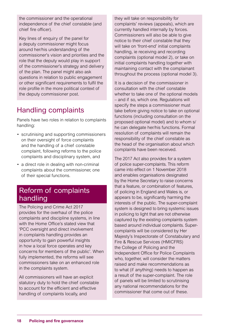the commissioner and the operational independence of the chief constable (and chief fire officer).

Key lines of enquiry of the panel for a deputy commissioner might focus around her/his understanding of the commissioner's vision and priorities and the role that the deputy would play in support of the commissioner's strategy and delivery of the plan. The panel might also ask questions in relation to public engagement or other significant requirements to fulfil the role profile in the more political context of the deputy commissioner post.

## Handling complaints

Panels have two roles in relation to complaints handling:

- scrutinising and supporting commissioners on their oversight of force complaints and the handling of a chief constable complaint, following reforms to the police complaints and disciplinary system, and
- a direct role in dealing with non-criminal complaints about the commissioner, one of their special functions.

## Reform of complaints handling

The Policing and Crime Act 2017 provides for the overhaul of the police complaints and discipline systems, in line with the Home Office's stated view that 'PCC oversight and direct involvement in complaints handling provides an opportunity to gain powerful insights in how a local force operates and key concerns for members of the public'. When fully implemented, the reforms will see commissioners take on an enhanced role in the complaints system.

All commissioners will have an explicit statutory duty to hold the chief constable to account for the efficient and effective handling of complaints locally, and

they will take on responsibility for complaints' reviews (appeals), which are currently handled internally by forces. Commissioners will also be able to give notice to their chief constable that they will take on 'front-end' initial complaints handling, ie receiving and recording complaints (optional model 2), or take on initial complaints handling together with maintaining contact with the complainant throughout the process (optional model 3).

It is a decision of the commissioner in consultation with the chief constable whether to take one of the optional models – and if so, which one. Regulations will specify the steps a commissioner must take before giving notice to take on optional functions (including consultation on the proposed optional model) and to whom s/ he can delegate her/his functions. Formal resolution of complaints will remain the responsibility of the chief constable as the head of the organisation about which complaints have been received.

The 2017 Act also provides for a system of police super-complaints. This reform came into effect on 1 November 2018 and enables organisations designated by the Home Secretary to raise concerns that a feature, or combination of features, of policing in England and Wales is, or appears to be, significantly harming the interests of the public. The super-complaint system is designed to bring systemic issues in policing to light that are not otherwise captured by the existing complaints system based around individual complaints. Supercomplaints will be considered by Her Majesty's Inspectorate of Constabulary and Fire & Rescue Services (HMICFRS) the College of Policing and the Independent Office for Police Complaints who, together, will consider the matters raised and make recommendations as to what (if anything) needs to happen as a result of the super-complaint. The role of panels will be limited to scrutinising any national recommendations for the commissioner that come out of these.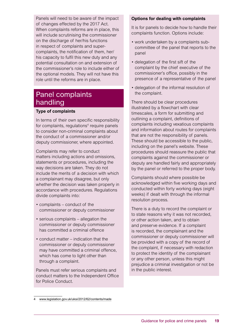Panels will need to be aware of the impact of changes effected by the 2017 Act. When complaints reforms are in place, this will include scrutinising the commissioner on the discharge of her/his functions in respect of complaints and supercomplaints, the notification of them, her/ his capacity to fulfil this new duty and any potential consultation on and extension of the commissioner's role to include either of the optional models. They will not have this role until the reforms are in place.

## Panel complaints handling

#### **Type of complaints**

In terms of their own specific responsibility for complaints, regulations<sup>4</sup> require panels to consider non-criminal complaints about the conduct of a commissioner and/or deputy commissioner, where appointed.

Complaints may refer to conduct matters including actions and omissions, statements or procedures, including the way decisions are taken. They do not include the merits of a decision with which a complainant may disagree, but only whether the decision was taken properly in accordance with procedures. Regulations divide complaints into:

- complaints conduct of the commissioner or deputy commissioner
- serious complaints allegation the commissioner or deputy commissioner has committed a criminal offence
- conduct matter indication that the commissioner or deputy commissioner may have committed a criminal offence, which has come to light other than through a complaint.

Panels must refer serious complaints and conduct matters to the Independent Office for Police Conduct.

#### **Options for dealing with complaints**

It is for panels to decide how to handle their complaints function. Options include:

- work undertaken by a complaints subcommittee of the panel that reports to the panel
- delegation of the first sift of the complaint by the chief executive of the commissioner's office, possibly in the presence of a representative of the panel
- delegation of the informal resolution of the complaint.

There should be clear procedures illustrated by a flowchart with clear timescales, a form for submitting and outlining a complaint, definitions of complaints including vexatious complaints and information about routes for complaints that are not the responsibility of panels. These should be accessible to the public, including on the panel's website. These procedures should reassure the public that complaints against the commissioner or deputy are handled fairly and appropriately by the panel or referred to the proper body.

Complaints should where possible be acknowledged within five working days and conducted within forty working days (eight weeks) if dealt with through the informal resolution process.

There is a duty to record the complaint or to state reasons why it was not recorded, or other action taken, and to obtain and preserve evidence. If a complaint is recorded, the complainant and the commissioner or deputy commissioner will be provided with a copy of the record of the complaint, if necessary with redaction to protect the identity of the complainant or any other person, unless this might prejudice a criminal investigation or not be in the public interest.

[www.legislation.gov.uk/uksi/2012/62/contents/made](http://  www.legislation.gov.uk/uksi/2012/62/contents/made)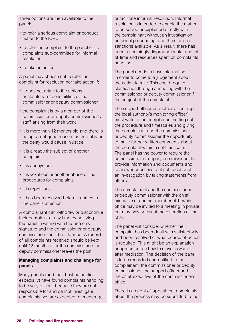Three options are then available to the panel:

- to refer a serious complaint or conduct matter to the IOPC
- to refer the complaint to the panel or its complaints sub-committee for informal resolution
- to take no action.

A panel may choose not to refer the complaint for resolution nor take action if:

- it does not relate to the actions or statutory responsibilities of the commissioner or deputy commissioner
- the complaint is by a member of the commissioner or deputy commissioner's staff arising from their work
- it is more than 12 months old and there is no apparent good reason for the delay or the delay would cause injustice
- it is already the subject of another complaint
- it is anonymous
- it is vexatious or another abuse of the procedures for complaints
- it is repetitious
- it has been resolved before it comes to the panel's attention.

A complainant can withdraw or discontinue their complaint at any time by notifying the panel in writing with the person's signature and the commissioner or deputy commissioner must be informed. A record of all complaints received should be kept until 12 months after the commissioner or deputy commissioner leaves the post.

#### **Managing complaints and challenge for panels**

Many panels (and their host authorities especially) have found complaints handling to be very difficult because they are not responsible for and cannot investigate complaints, yet are expected to encourage

or facilitate informal resolution. Informal resolution is intended to enable the matter to be solved or explained directly with the complainant without an investigation or formal proceeding, and there are no sanctions available. As a result, there has been a seemingly disproportionate amount of time and resources spent on complaints handling.

The panel needs to have information in order to come to a judgement about the action to take. This could require clarification through a meeting with the commissioner, or deputy commissioner if the subject of the complaint.

The support officer or another officer (eg the local authority's monitoring officer) must write to the complainant setting out the procedure and timescales and giving the complainant and the commissioner or deputy commissioner the opportunity to make further written comments about the complaint within a set timescale. The panel has the power to require the commissioner or deputy commissioner to provide information and documents and to answer questions, but not to conduct an investigation by taking statements from others.

The complainant and the commissioner or deputy commissioner with the chief executive or another member of her/his office may be invited to a meeting in private but may only speak at the discretion of the chair.

The panel will consider whether the complaint has been dealt with satisfactorily and been resolved or what course of action is required. This might be an explanation or agreement on how to move forward after mediation. The decision of the panel is to be recorded and notified to the complainant, the commissioner or deputy commissioner, the support officer and the chief executive of the commissioner's office.

There is no right of appeal, but complaints about the process may be submitted to the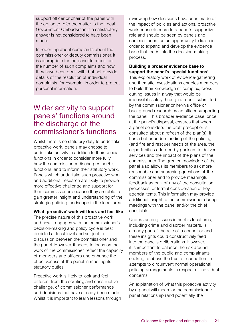support officer or chair of the panel with the option to refer the matter to the Local Government Ombudsman if a satisfactory answer is not considered to have been made.

In reporting about complaints about the commissioner or deputy commissioner, it is appropriate for the panel to report on the number of such complaints and how they have been dealt with, but not provide details of the resolution of individual complaints, for example, in order to protect personal information.

## Wider activity to support panels' functions around the discharge of the commissioner's functions

Whilst there is no statutory duty to undertake proactive work, panels may choose to undertake activity in addition to their special functions in order to consider more fully how the commissioner discharges her/his functions, and to inform their statutory work. Panels which undertake such proactive work and additional research are likely to provide more effective challenge and support for their commissioner because they are able to gain greater insight and understanding of the strategic policing landscape in the local area.

#### **What 'proactive' work will look and feel like**

The precise nature of this proactive work and how it engages with the commissioner's decision-making and policy cycle is best decided at local level and subject to discussion between the commissioner and the panel. However, it needs to focus on the work of the commissioner, reflect the capacity of members and officers and enhance the effectiveness of the panel in meeting its statutory duties.

Proactive work is likely to look and feel different from the scrutiny, and constructive challenge, of commissioner performance and decisions that have already been made. Whilst it is important to learn lessons through reviewing how decisions have been made or the impact of policies and actions, proactive work connects more to a panel's supportive role and should be seen by panels and commissioners as an opportunity to liaise in order to expand and develop the evidence base that feeds into the decision-making process.

#### **Building a broader evidence base to support the panel's 'special functions'**

This exploratory work of evidence-gathering and thematic investigations enables members to build their knowledge of complex, crosscutting issues in a way that would be impossible solely through a report submitted by the commissioner or her/his office or background research by an officer supporting the panel. This broader evidence base, once at the panel's disposal, ensures that when a panel considers the draft precept or is consulted about a refresh of the plan(s), it has a better understanding of the policing (and fire and rescue) needs of the area, the opportunities afforded by partners to deliver services and the impact of the plans of the commissioner. The greater knowledge of the panel also allows its members to ask more reasonable and searching questions of the commissioner and to provide meaningful feedback as part of any of the consultation processes, or formal consideration of key agenda items. This information may provide additional insight to the commissioner during meetings with the panel and/or the chief constable.

Understanding issues in her/his local area, including crime and disorder matters, is already part of the role of a councillor and these insights could constructively feed into the panel's deliberations. However, it is important to balance the risk around members of the public and complainants seeking to abuse the trust of councillors in attempts to circumvent normal operational policing arrangements in respect of individual concerns.

An explanation of what this proactive activity by a panel will mean for the commissioner/ panel relationship (and potentially, the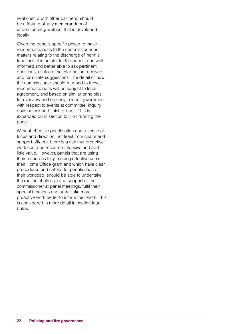relationship with other partners) should be a feature of any memorandum of understanding/protocol that is developed locally.

Given the panel's specific power to make recommendations to the commissioner on matters relating to the discharge of her/his functions, it is helpful for the panel to be well informed and better able to ask pertinent questions, evaluate the information received and formulate suggestions. The detail of how the commissioner should respond to these recommendations will be subject to local agreement, and based on similar principles for overview and scrutiny in local government with respect to events at committee, inquiry days or task and finish groups. This is expanded on in section four on running the panel.

Without effective prioritisation and a sense of focus and direction, not least from chairs and support officers, there is a risk that proactive work could be resource-intensive and add little value. However, panels that are using their resources fully, making effective use of their Home Office grant and which have clear procedures and criteria for prioritisation of their workload, should be able to undertake the routine challenge and support of the commissioner at panel meetings, fulfil their special functions and undertake more proactive work better to inform their work. This is considered in more detail in section four below.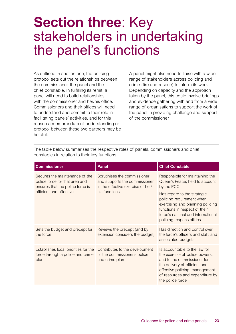## **Section three**: Key stakeholders in undertaking the panel's functions

As outlined in section one, the policing protocol sets out the relationships between the commissioner, the panel and the chief constable. In fulfilling its remit, a panel will need to build relationships with the commissioner and her/his office. Commissioners and their offices will need to understand and commit to their role in facilitating panels' activities, and for this reason a memorandum of understanding or protocol between these two partners may be helpful.

A panel might also need to liaise with a wide range of stakeholders across policing and crime (fire and rescue) to inform its work. Depending on capacity and the approach taken by the panel, this could involve briefings and evidence gathering with and from a wide range of organisations to support the work of the panel in providing challenge and support of the commissioner.

The table below summarises the respective roles of panels, commissioners and chief constables in relation to their key functions.

| <b>Commissioner</b>                                                                                                                                                                                        | <b>Panel</b>                                                                     | <b>Chief Constable</b>                                                                                                                                                                                                   |
|------------------------------------------------------------------------------------------------------------------------------------------------------------------------------------------------------------|----------------------------------------------------------------------------------|--------------------------------------------------------------------------------------------------------------------------------------------------------------------------------------------------------------------------|
| Secures the maintenance of the<br>Scrutinises the commissioner<br>police force for that area and<br>and supports the commissioner<br>ensures that the police force is<br>in the effective exercise of her/ | Responsible for maintaining the<br>Queen's Peace; held to account<br>by the PCC  |                                                                                                                                                                                                                          |
| efficient and effective                                                                                                                                                                                    | his functions                                                                    | Has regard to the strategic<br>policing requirement when<br>exercising and planning policing<br>functions in respect of their<br>force's national and international<br>policing responsibilities                         |
| Sets the budget and precept for<br>the force                                                                                                                                                               | Reviews the precept (and by<br>extension considers the budget)                   | Has direction and control over<br>the force's officers and staff, and<br>associated budgets                                                                                                                              |
| Establishes local priorities for the<br>force through a police and crime<br>plan                                                                                                                           | Contributes to the development<br>of the commissioner's police<br>and crime plan | Is accountable to the law for<br>the exercise of police powers,<br>and to the commissioner for<br>the delivery of efficient and<br>effective policing, management<br>of resources and expenditure by<br>the police force |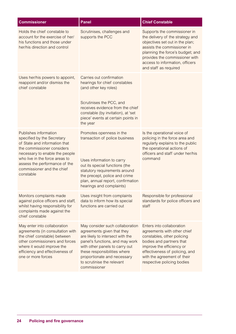| <b>Commissioner</b>                                                                                                                                                                                                                                                | Panel                                                                                                                                                                                                                                                                               | <b>Chief Constable</b>                                                                                                                                                                                                                                               |
|--------------------------------------------------------------------------------------------------------------------------------------------------------------------------------------------------------------------------------------------------------------------|-------------------------------------------------------------------------------------------------------------------------------------------------------------------------------------------------------------------------------------------------------------------------------------|----------------------------------------------------------------------------------------------------------------------------------------------------------------------------------------------------------------------------------------------------------------------|
| Holds the chief constable to<br>account for the exercise of her/<br>his functions and those under<br>her/his direction and control                                                                                                                                 | Scrutinises, challenges and<br>supports the PCC                                                                                                                                                                                                                                     | Supports the commissioner in<br>the delivery of the strategy and<br>objectives set out in the plan;<br>assists the commissioner in<br>planning the force's budget; and<br>provides the commissioner with<br>access to information, officers<br>and staff as required |
| Uses her/his powers to appoint,<br>reappoint and/or dismiss the<br>chief constable                                                                                                                                                                                 | Carries out confirmation<br>hearings for chief constables<br>(and other key roles)<br>Scrutinises the PCC, and<br>receives evidence from the chief<br>constable (by invitation), at 'set<br>piece' events at certain points in<br>the year                                          |                                                                                                                                                                                                                                                                      |
| Publishes information<br>specified by the Secretary<br>of State and information that<br>the commissioner considers<br>necessary to enable the people<br>who live in the force areas to<br>assess the performance of the<br>commissioner and the chief<br>constable | Promotes openness in the<br>transaction of police business<br>Uses information to carry<br>out its special functions (the<br>statutory requirements around<br>the precept, police and crime<br>plan, annual report, confirmation<br>hearings and complaints)                        | Is the operational voice of<br>policing in the force area and<br>regularly explains to the public<br>the operational actions of<br>officers and staff under her/his<br>command                                                                                       |
| Monitors complaints made<br>against police officers and staff,<br>whilst having responsibility for<br>complaints made against the<br>chief constable                                                                                                               | Uses insight from complaints<br>data to inform how its special<br>functions are carried out                                                                                                                                                                                         | Responsible for professional<br>standards for police officers and<br>staff                                                                                                                                                                                           |
| May enter into collaboration<br>agreements (in consultation with<br>the chief constable) between<br>other commissioners and forces<br>where it would improve the<br>efficiency and effectiveness of<br>one or more forces                                          | May consider such collaboration<br>agreements given that they<br>are likely to intersect with the<br>panel's functions, and may work<br>with other panels to carry out<br>these responsibilities where<br>proportionate and necessary<br>to scrutinise the relevant<br>commissioner | Enters into collaboration<br>agreements with other chief<br>constables, other policing<br>bodies and partners that<br>improve the efficiency or<br>effectiveness of policing, and<br>with the agreement of their<br>respective policing bodies                       |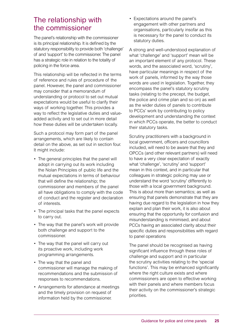## The relationship with the commissioner

The panel's relationship with the commissioner is its principal relationship. It is defined by the statutory responsibility to provide both 'challenge' of and 'support' to the commissioner. The panel has a strategic role in relation to the totality of policing in the force area.

This relationship will be reflected in the terms of reference and rules of procedure of the panel. However, the panel and commissioner may consider that a memorandum of understanding or protocol to set out mutual expectations would be useful to clarify their ways of working together. This provides a way to reflect the legislative duties and valueadded activity and to set out in more detail how these duties will be undertaken locally.

Such a protocol may form part of the panel arrangements, which are likely to contain detail on the above, as set out in section four. It might include:

- The general principles that the panel will adopt in carrying out its work including the Nolan Principles of public life and the mutual expectations in terms of behaviour that will define the relationship; the commissioner and members of the panel all have obligations to comply with the code of conduct and the register and declaration of interests.
- The principal tasks that the panel expects to carry out.
- The way that the panel's work will provide both challenge and support to the commissioner.
- The way that the panel will carry out its proactive work, including work programming arrangements.
- The way that the panel and commissioner will manage the making of recommendations and the submission of responses to recommendations.
- Arrangements for attendance at meetings and the timely provision on request of information held by the commissioner.

• Expectations around the panel's engagement with other partners and organisations, particularly insofar as this is necessary for the panel to conduct its statutory duties.

A strong and well-understood explanation of what 'challenge' and 'support' mean will be an important element of any protocol. These words, and the associated word, 'scrutiny', have particular meanings in respect of the work of panels, informed by the way those words are used in legislation. Together, they encompass the panel's statutory scrutiny tasks (relating to the precept, the budget, the police and crime plan and so on) as well as the wider duties of panels to contribute to PCCs' work by contributing to policy development and understanding the context in which PCCs operate, the better to conduct their statutory tasks.

Scrutiny practitioners with a background in local government, officers and councillors included, will need to be aware that they and OPCCs (and other relevant partners) will need to have a very clear expectation of exactly what 'challenge', 'scrutiny' and 'support' mean in this context, and in particular that colleagues in strategic policing may use or understand the word 'scrutiny' differently to those with a local government background. This is about more than semantics; as well as ensuring that panels demonstrate that they are having due regard to the legislation in how they explain and plan their work, it is also about ensuring that the opportunity for confusion and misunderstanding is minimised, and about PCCs having an associated clarity about their specific duties and responsibilities with regard to panel operations

The panel should be recognised as having significant influence through these roles of challenge and support and in particular the scrutiny activities relating to the 'special functions'. This may be enhanced significantly where the right culture exists and where commissioners are open to effective working with their panels and where members focus their activity on the commissioner's strategic priorities.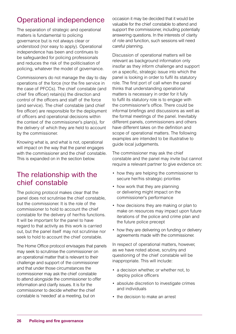## Operational independence

The separation of strategic and operational matters is fundamental to policing governance but is not always clear or understood (nor easy to apply). Operational independence has been and continues to be safeguarded for policing professionals and reduces the risk of the politicisation of policing, whatever the model of governance.

Commissioners do not manage the day to day operations of the force (nor the fire service in the case of PFCCs). The chief constable (and chief fire officer) retain(s) the direction and control of the officers and staff of the force (and service). The chief constable (and chief fire officer) are responsible for the deployment of officers and operational decisions within the context of the commissioner's plan(s), for the delivery of which they are held to account by the commissioner.

Knowing what is, and what is not, operational will impact on the way that the panel engages with the commissioner and the chief constable. This is expanded on in the section below.

## The relationship with the chief constable

The policing protocol makes clear that the panel does not scrutinise the chief constable, but the commissioner. It is the role of the commissioner to hold to account the chief constable for the delivery of her/his functions. It will be important for the panel to have regard to that activity as this work is carried out, but the panel itself may not scrutinise nor seek to hold to account the chief constable.

The Home Office protocol envisages that panels may seek to scrutinise the commissioner on an operational matter that is relevant to their challenge and support of the commissioner and that under those circumstances the commissioner may ask the chief constable to attend alongside the commissioner to offer information and clarify issues. It is for the commissioner to decide whether the chief constable is 'needed' at a meeting, but on

occasion it may be decided that it would be valuable for the chief constable to attend and support the commissioner, including potentially answering questions. In the interests of clarity of role and function, such sessions will need careful planning.

Discussion of operational matters will be relevant as background information only insofar as they inform challenge and support on a specific, strategic issue into which the panel is looking in order to fulfil its statutory role. The first port of call when the panel thinks that understanding operational matters is necessary in order for it fully to fulfil its statutory role is to engage with the commissioner's office. There could be informal briefings and discussions as well as the formal meetings of the panel. Inevitably different panels, commissioners and others have different takes on the definition and scope of operational matters. The following examples are intended to be illustrative to guide local judgements.

The commissioner may ask the chief constable and the panel may invite but cannot require a relevant partner to give evidence on:

- how they are helping the commissioner to secure her/his strategic priorities
- how work that they are planning or delivering might impact on the commissioner's performance
- how decisions they are making or plan to make on resources may impact upon future iterations of the police and crime plan and the future police precept
- how they are delivering on funding or delivery agreements made with the commissioner.

In respect of operational matters, however, as we have noted above, scrutiny and questioning of the chief constable will be inappropriate. This will include:

- a decision whether, or whether not, to deploy police officers
- absolute discretion to investigate crimes and individuals
- the decision to make an arrest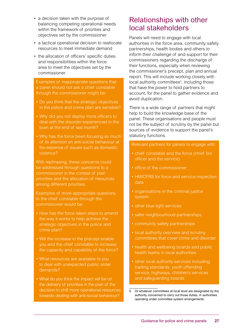- a decision taken with the purpose of balancing competing operational needs within the framework of priorities and objectives set by the commissioner
- a tactical operational decision to reallocate resources to meet immediate demand
- the allocation of officers' specific duties and responsibilities within the force area to meet the objectives set by the commissioner.

Examples of inappropriate questions that a panel should not ask a chief constable through the commissioner might be:

- Do you think that the strategic objectives in the police and crime plan are sensible?
- Why did you not deploy more officers to deal with the disorder experienced in the town at the end of last month?
- Why has the force been focusing so much of its attention on anti-social behaviour at the expense of issues such as domestic violence?

With rephrasing, these concerns could be addressed through questions to a commissioner in the context of plan priorities and the allocation of resources among different priorities.

Examples of more appropriate questions to the chief constable through the commissioner would be:

- How has the force taken steps to amend the way it works to help achieve the strategic objectives in the police and crime plan?
- Will the increase in the precept enable you and the chief constable to increase the capacity and capability of the force?
- What resources are available to you to deal with unexpected public order demands?
- What do you think the impact will be on the delivery of priorities in the plan of the decision to shift more operational resources towards dealing with anti-social behaviour?

## Relationships with other local stakeholders

Panels will need to engage with local authorities in the force area, community safety partnerships, health bodies and others to inform their challenge of and support for their commissioners regarding the discharge of their functions, especially when reviewing the commissioner's precept, plan and annual report. This will include working closely with local authority committees<sup>5</sup>, including those that have the power to hold partners to account, for the panel to gather evidence and avoid duplication.

There is a wide range of partners that might help to build the knowledge base of the panel. These organisations and people must not be the subject of scrutiny by the panel but sources of evidence to support the panel's statutory functions.

Relevant partners for panels to engage with:

- chief constable and the force (chief fire officer and the service)
- office of the commissioner
- HMICFRS for force and service inspection data
- organisations in the criminal justice system
- other blue light services
- safer neighbourhood partnerships
- community safety partnerships
- local authority overview and scrutiny committees that cover crime and disorder
- health and wellbeing boards and public health teams in local authorities
- other local authority services including trading standards, youth offending service, highways, children's services and safeguarding boards

5 Or whatever committees at local level are designated by the authority concerned to carry out those duties, in authorities operating under committee system arrangements.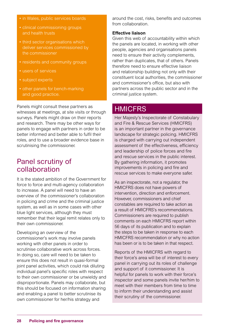- in Wales, public services boards
- clinical commissioning groups and health trusts
- third sector organisations which deliver services commissioned by the commissioner
- residents and community groups
- users of services
- subject experts
- other panels for bench-marking and good practice.

Panels might consult these partners as witnesses at meetings, at site visits or through surveys. Panels might draw on their reports and research. There may be other ways for panels to engage with partners in order to be better informed and better able to fulfil their roles, and to use a broader evidence base in scrutinising the commissioner.

## Panel scrutiny of collaboration

It is the stated ambition of the Government for force to force and multi-agency collaboration to increase. A panel will need to have an overview of the commissioner's collaboration in policing and crime and the criminal justice system, as well as in some cases with other blue light services, although they must remember that their legal remit relates only to their own commissioner.

Developing an overview of the commissioner's work may involve panels working with other panels in order to scrutinise collaborative work across forces. In doing so, care will need to be taken to ensure this does not result in quasi-formal joint panel activities, which could risk diluting individual panel's specific roles with respect to their own commissioner or be unwieldy and disproportionate. Panels may collaborate, but this should be focused on information sharing and enabling a panel to better scrutinise its own commissioner for her/his strategy and

around the cost, risks, benefits and outcomes from collaboration.

#### **Effective liaison**

Given this web of accountability within which the panels are located, in working with other people, agencies and organisations panels need to ensure their activity complements, rather than duplicates, that of others. Panels therefore need to ensure effective liaison and relationship building not only with their constituent local authorities, the commissioner and commissioner's office, but also with partners across the public sector and in the criminal justice system.

#### **HMICFRS**

Her Majesty's Inspectorate of Constabulary and Fire & Rescue Services (HMICFRS) is an important partner in the governance landscape for strategic policing. HMICFRS is charged with carrying out independent assessment of the effectiveness, efficiency and leadership of police forces and fire and rescue services in the public interest. By gathering information, it promotes improvements in policing and fire and rescue services to make everyone safer.

As an inspectorate, not a regulator, the HMICFRS does not have powers of intervention, direction and enforcement. However, commissioners and chief constables are required to take action as a result of HMICFRS's recommendations. Commissioners are required to publish comments on each HMICFRS report within 56 days of its publication and to explain the steps to be taken in response to each HMICFRS recommendation or why no action has been or is to be taken in that respect.

Reports of the HMICFRS with regard to their force's area will be of interest to every panel in carrying out its roles of challenge and support of it commissioner. It is helpful for panels to work with their force's inspector and some panels invite her/him to meet with their members from time to time to inform their understanding and assist their scrutiny of the commissioner.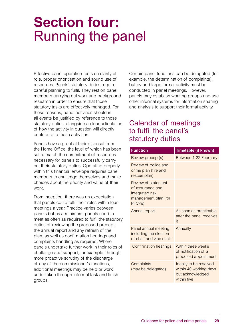## **Section four:** Running the panel

Effective panel operation rests on clarity of role, proper prioritisation and sound use of resources. Panels' statutory duties require careful planning to fulfil. They rest on panel members carrying out work and background research in order to ensure that those statutory tasks are effectively managed. For these reasons, panel activities should in all events be justified by reference to those statutory duties, alongside a clear articulation of how the activity in question will directly contribute to those activities.

Panels have a grant at their disposal from the Home Office, the level of which has been set to match the commitment of resources necessary for panels to successfully carry out their statutory duties. Operating properly within this financial envelope requires panel members to challenge themselves and make choices about the priority and value of their work.

From inception, there was an expectation that panels could fulfil their roles within four meetings a year. Practice varies between panels but as a minimum, panels need to meet as often as required to fulfil the statutory duties of reviewing the proposed precept, the annual report and any refresh of the plan, as well as confirmation hearings and complaints handling as required. Where panels undertake further work in their roles of challenge and support, for example, through more proactive scrutiny of the discharge of any of the commissioner's functions, additional meetings may be held or work undertaken through informal task and finish groups.

Certain panel functions can be delegated (for example, the determination of complaints), but by and large formal activity must be conducted in panel meetings. However, panels may establish working groups and use other informal systems for information sharing and analysis to support their formal activity.

## Calendar of meetings to fulfil the panel's statutory duties

| <b>Function</b>                                                                              | Timetable (if known)                                                                |
|----------------------------------------------------------------------------------------------|-------------------------------------------------------------------------------------|
| Review precept(s)                                                                            | Between 1-22 February                                                               |
| Review of police and<br>crime plan (fire and<br>rescue plan)                                 |                                                                                     |
| Review of statement<br>of assurance and<br>integrated risk<br>management plan (for<br>PFCPs) |                                                                                     |
| Annual report                                                                                | As soon as practicable<br>after the panel receives<br>it                            |
| Panel annual meeting,<br>including the election<br>of chair and vice chair                   | Annually                                                                            |
| <b>Confirmation hearings</b>                                                                 | Within three weeks<br>of notification of a<br>proposed appointment                  |
| Complaints<br>(may be delegated)                                                             | Ideally to be resolved<br>within 40 working days<br>but acknowledged<br>within five |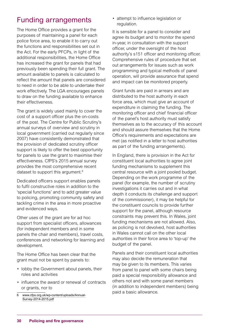## Funding arrangements

The Home Office provides a grant for the purposes of maintaining a panel for each police force area, to enable it to carry out the functions and responsibilities set out in the Act. For the early PFCPs, in light of the additional responsibilities, the Home Office has increased the grant for panels that had previously been spending their full grant. The amount available to panels is calculated to reflect the amount that panels are considered to need in order to be able to undertake their work effectively. The LGA encourages panels to draw on the funding available to enhance their effectiveness.

The grant is widely used mainly to cover the cost of a support officer plus the on-costs of the post. The Centre for Public Scrutiny's annual surveys of overview and scrutiny in local government (carried out regularly since 2007) have consistently demonstrated that the provision of dedicated scrutiny officer support is likely to offer the best opportunity for panels to use the grant to maximise their effectiveness. CfPS's 2015 annual survey provides the most comprehensive recent dataset to support this argument.6

Dedicated officers support enables panels to fulfil constructive roles in addition to the 'special functions' and to add greater value to policing, promoting community safety and tackling crime in the area in more proactive and evidenced ways.

Other uses of the grant are for ad hoc support from specialist officers, allowances (for independent members and in some panels the chair and members), travel costs, conferences and networking for learning and development.

The Home Office has been clear that the grant must not be spent by panels to:

- lobby the Government about panels, their roles and activities
- influence the award or renewal of contracts or grants, nor to
- 6 [www.cfps.org.uk/wp-content/uploads/Annual-](http://www.cfps.org.uk/wp-content/uploads/Annual-Survey-2014-2015.pdf)[Survey-2014-2015.pdf](http://www.cfps.org.uk/wp-content/uploads/Annual-Survey-2014-2015.pdf)

• attempt to influence legislation or regulation.

It is sensible for a panel to consider and agree its budget and to monitor the spend in-year, in consultation with the support officer, under the oversight of the host authority's s151 officer and monitoring officer. Comprehensive rules of procedure that set out arrangements for issues such as work programming and typical methods of panel operation, will provide assurance that spend and impact can be monitored properly.

Grant funds are paid in arrears and are distributed to the host authority in each force area, which must give an account of expenditure in claiming the funding. The monitoring officer and chief financial officer of the panel's host authority must satisfy themselves as to the accuracy of this account and should assure themselves that the Home Office's requirements and expectations are met (as notified in a letter to host authorities as part of the funding arrangements).

In England, there is provision in the Act for constituent local authorities to agree joint funding mechanisms to supplement this central resource with a joint pooled budget. Depending on the work programme of the panel (for example, the number of scrutiny investigations it carries out and in what depth it conducts its challenge and support of the commissioner), it may be helpful for the constituent councils to provide further support for the panel, although resource constraints may prevent this. In Wales, joint funding mechanisms are not allowed. Also, as policing is not devolved, host authorities in Wales cannot call on the other local authorities in their force area to 'top-up' the budget of the panel.

Panels and their constituent local authorities may also decide the remuneration that may be given to its members. This varies from panel to panel with some chairs being paid a special responsibility allowance and others not and with some panel members (in addition to independent members) being paid a basic allowance.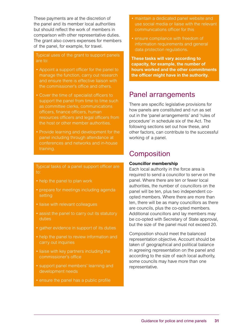These payments are at the discretion of the panel and its member local authorities but should reflect the work of members in comparison with other representative duties. The grant also covers expenses for members of the panel, for example, for travel.

#### Typical uses of the grant to support panels are to:

- Appoint a support officer for the panel to manage the function, carry out research and ensure there is effective liaison with the commissioner's office and others.
- Cover the time of specialist officers to support the panel from time to time such as committee clerks, communications officers, finance officers, human resources officers and legal officers from the host or other member authorities.
- Provide learning and development for the panel including through attendance at conferences and networks and in-house training.

#### Typical tasks of a panel support officer are to:

- help the panel to plan work
- prepare for meetings including agenda setting
- liaise with relevant colleagues
- assist the panel to carry out its statutory duties
- gather evidence in support of its duties
- help the panel to review information and carry out inquiries
- liaise with key partners including the commissioner's office
- support panel members' learning and development needs
- ensure the panel has a public profile
- maintain a dedicated panel website and use social media or liaise with the relevant communications officer for this
- ensure compliance with freedom of information requirements and general data protection regulations.

**These tasks will vary according to capacity, for example, the number of hours worked and the other commitments the officer might have in the authority.**

## Panel arrangements

There are specific legislative provisions for how panels are constituted and run as set out in the 'panel arrangements' and 'rules of procedure' in schedule six of the Act. The following sections set out how these, and other factors, can contribute to the successful working of a panel.

## **Composition**

#### **Councillor membership**

Each local authority in the force area is required to send a councillor to serve on the panel. Where there are ten or fewer local authorities, the number of councillors on the panel will be ten, plus two independent coopted members. Where there are more than ten, there will be as many councillors as there are councils, plus the co-opted members. Additional councillors and lay members may be co-opted with Secretary of State approval, but the size of the panel must not exceed 20.

Composition should meet the balanced representation objective. Account should be taken of geographical and political balance in agreeing representation on the panel and according to the size of each local authority, some councils may have more than one representative.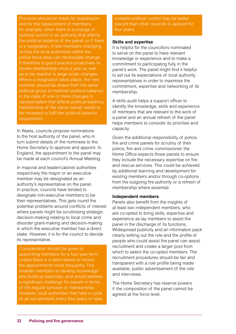Provision should be made for substitution and for the replacement of members, for example, when there is a change of political control in an authority that affects the political balance of the panel, or if there is a resignation. A few members changing across the local authorities within the police force area can necessitate change. It therefore is good practice proactively to review membership once a year as well as to be reactive to large-scale changes. Where a resignation takes place, the new member should be drawn from the same political group to maintain political balance; in the case of one or more changes in representation that affects political balance, membership of the panel overall needs to be reviewed to fulfil the political balance requirement.

In Wales, councils propose nominations to the host authority of the panel, who in turn submit details of the nominees to the Home Secretary to approve and appoint. In England, the appointment to the panel may be made at each council's Annual Meeting.

In mayoral and leader/cabinet authorities respectively the mayor or an executive member may be designated as an authority's representative on the panel. In practice, councils have tended to designate non-executive members to be their representatives. This gets round the potential problems around conflicts of interest where panels might be scrutinising strategic decision-making relating to local crime and disorder grant-making and decision-making in which the executive member has a direct stake. However, it is for the council to decide its representative.

Consideration should be given to appointing members for a four-year term unless there is a valid reason to review the appointments more frequently. This enables members to develop knowledge and build up expertise, and would address a significant challenge for panels in terms of the regular turnover of membership. However, local authorities that have a cycle of all out elections every four years or have a stable political control may be better placed than other councils to appoint for four years.

#### **Skills and expertise**

It is helpful for the councillors nominated to serve on the panel to have relevant knowledge or experience and to make a commitment to participating fully in the panel's work. The panel might find it helpful to set out its expectations of local authority representatives in order to maximise the commitment, expertise and networking of its membership.

A skills audit helps a support officer to identify the knowledge, skills and experience of members that are relevant to the work of a panel and an annual refresh of the panel helps members to consider its priorities and capacity.

Given the additional responsibility of police, fire and crime panels for scrutiny of their police, fire and crime commissioner, the Home Office expects those panels to ensure they include the necessary expertise on fire and rescue services. This could be achieved by additional learning and development for existing members and/or through co-options from the outgoing fire authority or a refresh of membership where essential.

#### **Independent members**

Panels also benefit from the insights of at least two independent members, who are co-opted to bring skills, expertise and experience as lay members to assist the panel in the discharge of its functions. Widespread publicity and an information pack clearly setting out the role and the profile of people who could assist the panel can assist recruitment and create a larger pool from which to select the co-opted members. The recruitment procedures should be fair and transparent with a role profile being made available, public advertisement of the role and interviews.

The Home Secretary has reserve powers if the composition of the panel cannot be agreed at the force level.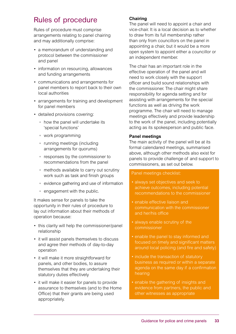## Rules of procedure

Rules of procedure must comprise arrangements relating to panel chairing and may additionally comprise:

- a memorandum of understanding and protocol between the commissioner and panel
- information on resourcing, allowances and funding arrangements
- communications and arrangements for panel members to report back to their own local authorities
- arrangements for training and development for panel members
- detailed provisions covering:
	- how the panel will undertake its 'special functions'
	- work programming
	- running meetings (including arrangements for quorums)
	- responses by the commissioner to recommendations from the panel
	- methods available to carry out scrutiny work such as task and finish groups
	- evidence gathering and use of information
	- engagement with the public.

It makes sense for panels to take the opportunity in their rules of procedure to lay out information about their methods of operation because:

- this clarity will help the commissioner/panel relationship
- it will assist panels themselves to discuss and agree their methods of day-to-day operation
- it will make it more straightforward for panels, and other bodies, to assure themselves that they are undertaking their statutory duties effectively
- it will make it easier for panels to provide assurance to themselves (and to the Home Office) that their grants are being used appropriately.

#### **Chairing**

The panel will need to appoint a chair and vice-chair. It is a local decision as to whether to draw from its full membership rather than only from councillors on the panel in appointing a chair, but it would be a more open system to appoint either a councillor or an independent member.

The chair has an important role in the effective operation of the panel and will need to work closely with the support officer and build sound relationships with the commissioner. The chair might share responsibility for agenda setting and for assisting with arrangements for the special functions as well as driving the work programme. The chair will need to manage meetings effectively and provide leadership to the work of the panel, including potentially acting as its spokesperson and public face.

#### **Panel meetings**

The main activity of the panel will be at its formal calendared meetings, summarised above, although other methods also exist for panels to provide challenge of and support to commissioners, as set out below.

#### Panel meetings checklist:

- always set objectives and seek to achieve outcomes, including potential recommendations to the commissioner
- enable effective liaison and communication with the commissioner and her/his office
- always enable scrutiny of the commissioner
- enable the panel to stay informed and focused on timely and significant matters around local policing (and fire and safety)
- include the transaction of statutory business as required or within a separate agenda on the same day if a confirmation hearing
- enable the gathering of insights and evidence from partners, the public and other witnesses as appropriate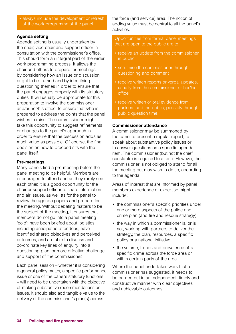• always include the development or refresh of the work programme of the panel.

#### **Agenda setting**

Agenda setting is usually undertaken by the chair, vice-chair and support officer in consultation with the commissioner's office. This should form an integral part of the wider work programming process. It allows the chair and others to prepare for meetings by considering how an issue or discussion ought to be framed and by identifying questioning themes in order to ensure that the panel engages properly with its statutory duties. It will usually be appropriate for this preparation to involve the commissioner and/or her/his office, to ensure that s/he is prepared to address the points that the panel wishes to raise. The commissioner might take this opportunity to suggest refinements or changes to the panel's approach in order to ensure that the discussion adds as much value as possible. Of course, the final decision on how to proceed sits with the panel itself.

#### **Pre-meetings**

Many panels find a pre-meeting before the panel meeting to be helpful. Members are encouraged to attend and as they rarely see each other, it is a good opportunity for the chair or support officer to share information and air issues, as well as for the panel to review the agenda papers and prepare for the meeting. Without debating matters to be the subject of the meeting, it ensures that members do not go into a panel meeting 'cold'; have been briefed about logistics including anticipated attendees; have identified shared objectives and perceived outcomes; and are able to discuss and co-ordinate key lines of enquiry into a questioning plan for more effective challenge and support of the commissioner.

Each panel session – whether it is considering a general policy matter, a specific performance issue or one of the panel's statutory functions – will need to be undertaken with the objective of making substantive recommendations on issues. It should also add tangible value to the delivery of the commissioner's plan(s) across

the force (and service) area. The notion of adding value must be central to all the panel's activities.

#### Opportunities from formal panel meetings that are open to the public are to:

- receive an update from the commissioner in public
- scrutinise the commissioner through questioning and comment
- receive written reports or verbal updates, usually from the commissioner or her/his office
- receive written or oral evidence from partners and the public, possibly through public question time.

#### **Commissioner attendance**

A commissioner may be summoned by the panel to present a regular report, to speak about substantive policy issues or to answer questions on a specific agenda item. The commissioner (but not the chief constable) is required to attend. However, the commissioner is not obliged to attend for all the meeting but may wish to do so, according to the agenda.

Areas of interest that are informed by panel members experience or expertise might include:

- the commissioner's specific priorities under one or more aspects of the police and crime plan (and fire and rescue strategy)
- the way in which a commissioner is, or is not, working with partners to deliver the strategy, the plan, resources, a specific policy or a national initiative
- the volume, trends and prevalence of a specific crime across the force area or within certain parts of the area.

Where the panel undertakes work that a commissioner has suggested, it needs to be carried out in an independent, timely and constructive manner with clear objectives and achievable outcomes.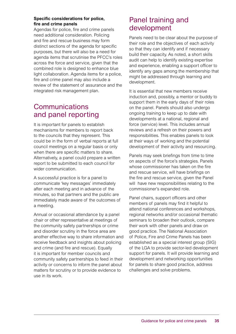#### **Specific considerations for police, fire and crime panels**

Agendas for police, fire and crime panels need additional consideration. Policing and fire and rescue business may form distinct sections of the agenda for specific purposes, but there will also be a need for agenda items that scrutinise the PFCC's roles across the force and service, given that the combined role is designed to enhance blue light collaboration. Agenda items for a police, fire and crime panel may also include a review of the statement of assurance and the integrated risk management plan.

## **Communications** and panel reporting

It is important for panels to establish mechanisms for members to report back to the councils that they represent. This could be in the form of verbal reports at full council meetings on a regular basis or only when there are specific matters to share. Alternatively, a panel could prepare a written report to be submitted to each council for wider communication.

A successful practice is for a panel to communicate 'key messages' immediately after each meeting and in advance of the minutes, so that partners and the public are immediately made aware of the outcomes of a meeting.

Annual or occasional attendance by a panel chair or other representative at meetings of the community safety partnerships or crime and disorder scrutiny in the force area are another effective way to share information and receive feedback and insights about policing and crime (and fire and rescue). Equally it is important for member councils and community safety partnerships to feed in their activity or concerns to inform the panel about matters for scrutiny or to provide evidence to use in its work.

## Panel training and development

Panels need to be clear about the purpose of their role and the objectives of each activity so that they can identify and if necessary build their capacity. As noted, a short skills audit can help to identify existing expertise and experience, enabling a support officer to identify any gaps among the membership that might be addressed through learning and development.

It is essential that new members receive induction and, possibly, a mentor or buddy to support them in the early days of their roles on the panel. Panels should also undergo ongoing training to keep up to date with developments at a national, regional and force (service) level. This includes annual reviews and a refresh on their powers and responsibilities. This enables panels to look at their ways of working and the potential development of their activity and resourcing.

Panels may seek briefings from time to time on aspects of the force's strategies. Panels whose commissioner has taken on the fire and rescue service, will have briefings on the fire and rescue service, given the Panel will have new responsibilities relating to the commissioner's expanded role.

Panel chairs, support officers and other members of panels may find it helpful to attend national conferences and workshops, regional networks and/or occasional thematic seminars to broaden their outlook, compare their work with other panels and draw on good practice. The National Association of Police, Fire and Crime Panels has been established as a special interest group (SIG) of the LGA to provide sector-led development support for panels. It will provide learning and development and networking opportunities for panels to share good practice, address challenges and solve problems.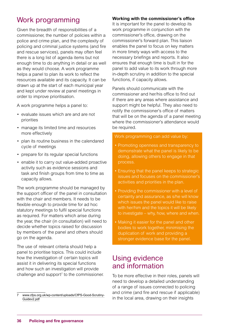## Work programming

Given the breadth of responsibilities of a commissioner, the number of policies within a police and crime plan, and the complexity of policing and criminal justice systems (and fire and rescue services), panels may often feel there is a long list of agenda items but not enough time to do anything in detail or as well as they would choose. A work programme helps a panel to plan its work to reflect the resources available and its capacity. It can be drawn up at the start of each municipal year and kept under review at panel meetings in order to improve prioritisation.

A work programme helps a panel to:

- evaluate issues which are and are not priorities
- manage its limited time and resources more effectively
- plan its routine business in the calendared cycle of meetings
- prepare for its regular special functions
- enable it to carry out value-added proactive activity such as evidence sessions and task and finish groups from time to time as capacity allows.

The work programme should be managed by the support officer of the panel in consultation with the chair and members. It needs to be flexible enough to provide time for ad hoc statutory meetings to fulfil special functions as required. For matters which arise during the year, the chair (in consultation) will need to decide whether topics raised for discussion by members of the panel and others should go on the agenda.

The use of relevant criteria should help a panel to prioritise topics. This could include how the investigation of certain topics will assist it in delivering its special functions and how such an investigation will provide challenge and support<sup> $7$ </sup> to the commissioner.

#### **Working with the commissioner's office**

It is important for the panel to develop its work programme in conjunction with the commissioner's office, drawing on the commissioner's forward plan. This liaison enables the panel to focus on key matters in more timely ways with access to the necessary briefings and reports. It also ensures that enough time is built in for the panel to add value to its work through more in-depth scrutiny in addition to the special functions, if capacity allows.

Panels should communicate with the commissioner and her/his office to find out if there are any areas where assistance and support might be helpful. They also need to notify the commissioner's office of matters that will be on the agenda of a panel meeting where the commissioner's attendance would be required.

#### Work programming can add value by:

- Promoting openness and transparency to demonstrate what the panel is likely to be doing, allowing others to engage in that process.
- Ensuring that the panel keeps to strategic issues and focuses on the commissioner's activities and priorities in the plan.
- Providing the commissioner with a level of certainty and assurance, as s/he will know which issues the panel would like to raise with her/him and the topics it will be likely to investigate – why, how, where and when.
- Making it easier for the panel and other bodies to work together, minimising the duplication of work and providing a stronger evidence base for the panel.

### Using evidence and information

To be more effective in their roles, panels will need to develop a detailed understanding of a range of issues connected to policing and crime (and fire and rescue if applicable) in the local area, drawing on their insights

<sup>7</sup> [www.cfps.org.uk/wp-content/uploads/CfPS-Good-Scrutiny-](http://www.cfps.org.uk/wp-content/uploads/CfPS-Good-Scrutiny-Guidev2.pdf)[Guidev2.pdf](http://www.cfps.org.uk/wp-content/uploads/CfPS-Good-Scrutiny-Guidev2.pdf)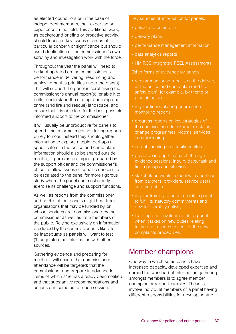as elected councillors or in the case of independent members, their expertise or experience in the field. This additional work, as background briefing or proactive activity, should focus on key issues or areas of particular concern or significance but should avoid duplication of the commissioner's own scrutiny and investigation work with the force.

Throughout the year the panel will need to be kept updated on the commissioner's performance in delivering, resourcing and achieving her/his priorities under the plan(s). This will support the panel in scrutinising the commissioner's annual report(s), enable it to better understand the strategic policing and crime (and fire and rescue) landscape, and ensure that it is able to offer the best possible informed support to the commissioner.

It will usually be unproductive for panels to spend time in formal meetings taking reports purely to note, instead they should gather information to explore a topic, perhaps a specific item in the police and crime plan. Information should also be shared outside meetings, perhaps in a digest prepared by the support officer and the commissioner's office, to allow issues of specific concern to be escalated to the panel for more rigorous study where the panel can most clearly exercise its challenge and support functions.

As well as reports from the commissioner and her/his office, panels might hear from organisations that may be funded by, or whose services are, commissioned by the commissioner as well as from members of the public. Relying exclusively on information produced by the commissioner is likely to be inadequate as panels will want to test ('triangulate') that information with other sources.

Gathering evidence and preparing for meetings will ensure that commissioner attendance will be targeted; that the commissioner can prepare in advance for items of which s/he has already been notified; and that substantive recommendations and actions can come out of each session.

Key sources of information for panels:

- police and crime plan
- delivery plans
- performance management information
- data analytics reports
- HMIRCS Integrated PEEL Assessments.

Other forms of evidence for panels:

- regular monitoring reports on the delivery of the police and crime plan (and fire safety plan), for example, by theme or plan objective
- regular financial and performance monitoring reports
- progress reports on key strategies of the commissioner, for example, estates, change programmes, victims' services commissioning
- one-off briefing on specific matters
- proactive in-depth research through evidence sessions, inquiry days, task and finish groups and site visits
- stakeholder events to meet with and hear from partners, providers, service users and the public
- regular training to better enable a panel to fulfil its statutory commitments and develop scrutiny activity
- learning and development for a panel when it takes on new duties relating to fire and rescue services or the new complaints procedures.

## Member champions

One way in which some panels have increased capacity, developed expertise and spread the workload of information gathering amongst members is to agree member champion or rapporteur roles. These is involve individual members of a panel having different responsibilities for developing and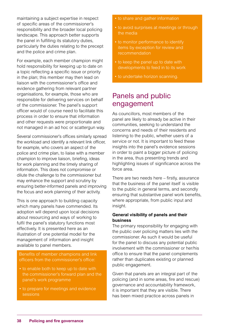maintaining a subject expertise in respect of specific areas of the commissioner's responsibility and the broader local policing landscape. This approach better supports the panel in fulfilling its statutory duties, particularly the duties relating to the precept and the police and crime plan.

For example, each member champion might hold responsibility for keeping up to date on a topic reflecting a specific issue or priority in the plan; this member may then lead on liaison with the commissioner's office and evidence gathering from relevant partner organisations, for example, those who are responsible for delivering services on behalf of the commissioner. The panel's support officer would of course need to facilitate this process in order to ensure that information and other requests were proportionate and not managed in an ad hoc or scattergun way.

Several commissioner's offices similarly spread the workload and identify a relevant link officer, for example, who covers an aspect of the police and crime plan, to liaise with a member champion to improve liaison, briefing, ideas for work planning and the timely sharing of information. This does not compromise or dilute the challenge to the commissioner but may enhance the support and scrutiny by ensuring better-informed panels and improving the focus and work planning of their activity.

This is one approach to building capacity which many panels have commended. Its adoption will depend upon local decisions about resourcing and ways of working to fulfil the panel's statutory functions most effectively. It is presented here as an illustration of one potential model for the management of information and insight available to panel members.

Benefits of member champions and link officers from the commissioner's office:

- to enable both to keep up to date with the commissioner's forward plan and the panel's work programme
- to prepare for meetings and evidence sessions
- to share and gather information
- to avoid surprises at meetings or through the media
- to monitor performance to identify items by exception for review and recommendation
- to keep the panel up to date with developments to feed in to its work
- to undertake horizon scanning.

## Panels and public engagement

As councillors, most members of the panel are likely to already be active in their communities, seeking to understand the concerns and needs of their residents and listening to the public, whether users of a service or not. It is important to feed these insights into the panel's evidence sessions in order to paint a bigger picture of policing in the area, thus presenting trends and highlighting issues of significance across the force area.

There are two needs here – firstly, assurance that the business of the panel itself is visible to the public in general terms, and secondly ensuring that substantive panel work benefits, where appropriate, from public input and insight.

#### **General visibility of panels and their business**

The primary responsibility for engaging with the public over policing matters lies with the commissioner. As such it would be useful for the panel to discuss any potential public involvement with the commissioner or her/his office to ensure that the panel complements rather than duplicates existing or planned public engagement.

Given that panels are an integral part of the policing (and in some areas, fire and rescue) governance and accountability framework, it is important that they are visible. There has been mixed practice across panels in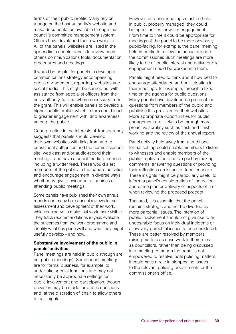terms of their public profile. Many rely on a page on the host authority's website and make documentation available through that council's committee management system. Others have developed their own website. All of the panels' websites are listed in the appendix to enable panels to review each other's communications tools, documentation, procedures and meetings.

It would be helpful for panels to develop a communications strategy encompassing public engagement, reporting, websites and social media. This might be carried out with assistance from specialist officers from the host authority, funded where necessary from the grant. This will enable panels to develop a higher public profile, which in turn could lead to greater engagement with, and awareness among, the public.

Good practice in the interests of transparency suggests that panels should develop their own websites with links from and to constituent authorities and the commissioner's site; web cast and/or audio-record their meetings; and have a social media presence including a twitter feed. These would alert members of the public to the panel's activities and encourage engagement in diverse ways, whether by giving evidence to inquiries or attending public meetings.

Some panels have published their own annual reports and many hold annual reviews for selfassessment and development of their work, which can serve to make that work more visible. They track recommendations in-year, evaluate the outcomes from the work programme and identify what has gone well and what they might usefully develop – and how.

#### **Substantive involvement of the public in panels' activities**

Panel meetings are held in public (though are not public meetings). Some panel meetings are for formal business, for example, to undertake special functions and may not necessarily be appropriate settings for public involvement and participation, though provision may be made for public questions and, at the discretion of chair, to allow others to participate.

However, as panel meetings must be held in public, properly managed, they could be opportunities for wider engagement. From time to time it could be appropriate for meetings of the panel to be more obviously public-facing, for example, the panel meeting held in public to review the annual report of the commissioner. Such meetings are more likely to be of public interest and active public engagement could be worked into them.

Panels might need to think about how best to encourage attendance and participation in their meetings, for example, through a fixed time on the agenda for public questions. Many panels have developed a protocol for questions from members of the public and publicise this provision on their websites. More appropriate opportunities for public engagement are likely to be through more proactive scrutiny such as 'task and finish' working and the review of the annual report.

Panel activity held away from a traditional formal setting could enable members to listen to witnesses and enable members of the public to play a more active part by making comments, answering questions or providing their reflections on issues of local concern. These insights might be particularly useful to inform a panel's consideration of the police and crime plan or delivery of aspects of it or when reviewing the proposed precept.

That said, it is essential that the panel remains strategic and not be diverted by more parochial issues. The intention of public involvement should not give rise to an undesirable focus on individual incidents or allow very parochial issues to be considered. These are better resolved by members raising matters as case work in their roles as councillors, rather than being discussed in a meeting. Although the panel is not empowered to resolve local policing matters, it could have a role in signposting issues to the relevant policing departments or the commissioner's office.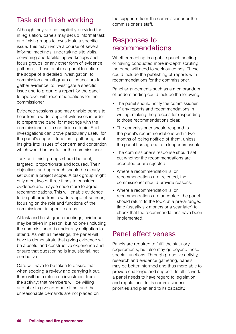## Task and finish working

Although they are not explicitly provided for in legislation, panels may set up informal task and finish groups to investigate a specific issue. This may involve a course of several informal meetings, undertaking site visits, convening and facilitating workshops and focus groups, or any other form of evidence gathering. These enable a panel to define the scope of a detailed investigation, to commission a small group of councillors to gather evidence, to investigate a specific issue and to prepare a report for the panel to approve, with recommendations for the commissioner.

Evidence sessions also may enable panels to hear from a wide range of witnesses in order to prepare the panel for meetings with the commissioner or to scrutinise a topic. Such investigations can prove particularly useful for the panel's support function – gathering local insights into issues of concern and contention which would be useful for the commissioner.

Task and finish groups should be brief, targeted, proportionate and focused. Their objectives and approach should be clearly set out in a project scope. A task group might only meet two or three times to consider evidence and maybe once more to agree recommendations. This will enable evidence to be gathered from a wide range of sources, focusing on the role and functions of the commissioner in specific areas.

At task and finish group meetings, evidence may be taken in person, but no one (including the commissioner) is under any obligation to attend. As with all meetings, the panel will have to demonstrate that giving evidence will be a useful and constructive experience and ensure that questioning is inquisitorial, not combative.

Care will have to be taken to ensure that when scoping a review and carrying it out, there will be a return on investment from the activity; that members will be willing and able to give adequate time; and that unreasonable demands are not placed on

the support officer, the commissioner or the commissioner's staff.

## Responses to recommendations

Whether meeting in a public panel meeting or having conducted more in-depth scrutiny, the panel will need to seek outcomes. These could include the publishing of reports with recommendations for the commissioner.

Panel arrangements such as a memorandum of understanding could include the following:

- The panel should notify the commissioner of any reports and recommendations in writing, making the process for responding to those recommendations clear.
- The commissioner should respond to the panel's recommendations within two months of being notified of them, unless the panel has agreed to a longer timescale.
- The commissioner's response should set out whether the recommendations are accepted or are rejected.
- Where a recommendation is, or recommendations are, rejected, the commissioner should provide reasons.
- Where a recommendation is, or recommendations are accepted, the panel should return to the topic at a pre-arranged time (usually six months or a year later) to check that the recommendations have been implemented.

## Panel effectiveness

Panels are required to fulfil the statutory requirements, but also may go beyond those special functions. Through proactive activity, research and evidence gathering, panels may be better informed and thus more able to provide challenge and support. In all its work, a panel needs to have regard to legislation and regulations, to its commissioner's priorities and plan and to its capacity.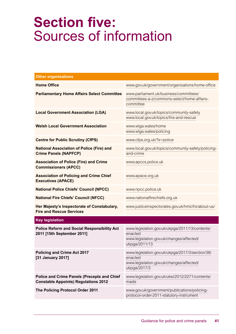## **Section five:** Sources of information

| <b>Other organisations</b>                                                                        |                                                                                                                        |
|---------------------------------------------------------------------------------------------------|------------------------------------------------------------------------------------------------------------------------|
| <b>Home Office</b>                                                                                | www.gov.uk/government/organisations/home-office                                                                        |
| <b>Parliamentary Home Affairs Select Committee</b>                                                | www.parliament.uk/business/committees/<br>committees-a-z/commons-select/home-affairs-<br>committee                     |
| <b>Local Government Association (LGA)</b>                                                         | www.local.gov.uk/topics/community-safety<br>www.local.gov.uk/topics/fire-and-rescue                                    |
| <b>Welsh Local Government Association</b>                                                         | www.wlga.wales/home<br>www.wlga.wales/policing                                                                         |
| <b>Centre for Public Scrutiny (CfPS)</b>                                                          | www.cfps.org.uk/?s=police                                                                                              |
| <b>National Association of Police (Fire) and</b><br><b>Crime Panels (NAPFCP)</b>                  | www.local.gov.uk/topics/community-safety/policing-<br>and-crime                                                        |
| <b>Association of Police (Fire) and Crime</b><br><b>Commissioners (APCC)</b>                      | www.apccs.police.uk                                                                                                    |
| <b>Association of Policing and Crime Chief</b><br><b>Executives (APACE)</b>                       | www.apace.org.uk                                                                                                       |
| <b>National Police Chiefs' Council (NPCC)</b>                                                     | www.npcc.police.uk                                                                                                     |
| <b>National Fire Chiefs' Council (NFCC)</b>                                                       | www.nationalfirechiefs.org.uk                                                                                          |
| Her Majesty's Inspectorate of Constabulary,<br><b>Fire and Rescue Services</b>                    | www.justiceinspectorates.gov.uk/hmicfrs/about-us/                                                                      |
| <b>Key legislation</b>                                                                            |                                                                                                                        |
| <b>Police Reform and Social Responsibility Act</b><br>2011 [15th September 2011]                  | www.legislation.gov.uk/ukpga/2011/13/contents/<br>enacted<br>www.legislation.gov.uk/changes/affected/<br>ukpga/2011/13 |
| <b>Policing and Crime Act 2017</b><br>[31 January 2017]                                           | www.legislation.gov.uk/ukpga/2017/3/section/38/<br>enacted<br>www.legislation.gov.uk/changes/affected/<br>ukpga/2017/3 |
| <b>Police and Crime Panels (Precepts and Chief</b><br><b>Constable Appoints) Regulations 2012</b> | www.legislation.gov.uk/uksi/2012/2271/contents/<br>made                                                                |
| The Policing Protocol Order 2011                                                                  | www.gov.uk/government/publications/policing-<br>protocol-order-2011-statutory-instrument                               |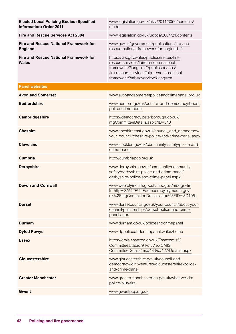| <b>Elected Local Policing Bodies (Specified</b><br><b>Information) Order 2011</b> | www.legislation.gov.uk/uksi/2011/3050/contents/<br>made                                                                                                                                                   |
|-----------------------------------------------------------------------------------|-----------------------------------------------------------------------------------------------------------------------------------------------------------------------------------------------------------|
| Fire and Rescue Services Act 2004                                                 | www.legislation.gov.uk/ukpga/2004/21/contents                                                                                                                                                             |
| <b>Fire and Rescue National Framework for</b><br><b>England</b>                   | www.gov.uk/government/publications/fire-and-<br>rescue-national-framework-for-england--2                                                                                                                  |
| <b>Fire and Rescue National Framework for</b><br><b>Wales</b>                     | https://law.gov.wales/publicservices/fire-<br>rescue-services/faire-rescue-national-<br>framework/?lang=en#/publicservices/<br>fire-rescue-services/faire-rescue-national-<br>framework/?tab=overview⟨=en |
| <b>Panel websites</b>                                                             |                                                                                                                                                                                                           |
| <b>Avon and Somerset</b>                                                          | www.avonandsomersetpoliceandcrimepanel.org.uk                                                                                                                                                             |
| <b>Bedfordshire</b>                                                               | www.bedford.gov.uk/council-and-democracy/beds-<br>police-crime-panel                                                                                                                                      |
| Cambridgeshire                                                                    | https://democracy.peterborough.gov.uk/<br>mgCommitteeDetails.aspx?ID=543                                                                                                                                  |
| <b>Cheshire</b>                                                                   | www.cheshireeast.gov.uk/council_and_democracy/<br>your_council/cheshire-police-and-crime-panel.aspx                                                                                                       |
| <b>Cleveland</b>                                                                  | www.stockton.gov.uk/community-safety/police-and-<br>crime-panel                                                                                                                                           |
| <b>Cumbria</b>                                                                    | http://cumbriapcp.org.uk                                                                                                                                                                                  |
| <b>Derbyshire</b>                                                                 | www.derbyshire.gov.uk/community/community-<br>safety/derbyshire-police-and-crime-panel/<br>derbyshire-police-and-crime-panel.aspx                                                                         |
| <b>Devon and Cornwall</b>                                                         | www.web.plymouth.gov.uk/modgov?modgovlin<br>k=http%3A%2F%2Fdemocracy.plymouth.gov.<br>uk%2FmgCommitteeDetails.aspx%3FID%3D1051                                                                            |
| <b>Dorset</b>                                                                     | www.dorsetcouncil.gov.uk/your-council/about-your-<br>council/partnerships/dorset-police-and-crime-<br>panel.aspx                                                                                          |
| <b>Durham</b>                                                                     | www.durham.gov.uk/policeandcrimepanel                                                                                                                                                                     |
| <b>Dyfed Powys</b>                                                                | www.dppoliceandcrimepanel.wales/home                                                                                                                                                                      |
| <b>Essex</b>                                                                      | https://cmis.essexcc.gov.uk/Essexcmis5/<br>Committees/tabid/94/ctl/ViewCMIS<br>CommitteeDetails/mid/483/id/127/Default.aspx                                                                               |
| <b>Gloucestershire</b>                                                            | www.gloucestershire.gov.uk/council-and-<br>democracy/joint-ventures/gloucestershire-police-<br>and-crime-panel                                                                                            |
| <b>Greater Manchester</b>                                                         | www.greatermanchester-ca.gov.uk/what-we-do/<br>police-plus-fire                                                                                                                                           |
| <b>Gwent</b>                                                                      | www.gwentpcp.org.uk                                                                                                                                                                                       |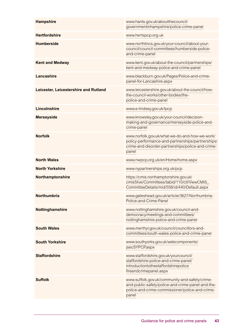| <b>Hampshire</b>                      | www.hants.gov.uk/aboutthecouncil/<br>governmentinhampshire/police-crime-panel                                                                                     |
|---------------------------------------|-------------------------------------------------------------------------------------------------------------------------------------------------------------------|
| <b>Hertfordshire</b>                  | www.hertspcp.org.uk                                                                                                                                               |
| <b>Humberside</b>                     | www.northlincs.gov.uk/your-council/about-your-<br>council/council-committees/humberside-police-<br>and-crime-panel                                                |
| <b>Kent and Medway</b>                | www.kent.gov.uk/about-the-council/partnerships/<br>kent-and-medway-police-and-crime-panel                                                                         |
| Lancashire                            | www.blackburn.gov.uk/Pages/Police-and-crime-<br>panel-for-Lancashire.aspx                                                                                         |
| Leicester, Leicestershire and Rutland | www.leicestershire.gov.uk/about-the-council/how-<br>the-council-works/other-bodies/the-<br>police-and-crime-panel                                                 |
| <b>Lincolnshire</b>                   | www.e-lindsey.gov.uk/lpcp                                                                                                                                         |
| <b>Merseyside</b>                     | www.knowsley.gov.uk/your-council/decision-<br>making-and-governance/merseyside-police-and-<br>crime-panel                                                         |
| <b>Norfolk</b>                        | www.norfolk.gov.uk/what-we-do-and-how-we-work/<br>policy-performance-and-partnerships/partnerships/<br>crime-and-disorder-partnerships/police-and-crime-<br>panel |
| <b>North Wales</b>                    | www.nwpcp.org.uk/en/Home/home.aspx                                                                                                                                |
| <b>North Yorkshire</b>                | www.nypartnerships.org.uk/pcp                                                                                                                                     |
| Northamptonshire                      | https://cmis.northamptonshire.gov.uk/<br>cmis5live/Committees/tabid/110/ctl/ViewCMIS_<br>CommitteeDetails/mid/558/id/440/Default.aspx                             |
| Northumbria                           | www.gateshead.gov.uk/article/3627/Northumbria-<br>Police-and-Crime-Panel                                                                                          |
| Nottinghamshire                       | www.nottinghamshire.gov.uk/council-and-<br>democracy/meetings-and-committees/<br>nottinghamshire-police-and-crime-panel                                           |
| <b>South Wales</b>                    | www.merthyr.gov.uk/council/councillors-and-<br>committees/south-wales-police-and-crime-panel                                                                      |
| <b>South Yorkshire</b>                | www.southyorks.gov.uk/webcomponents/<br>jsecSYPCP.aspx                                                                                                            |
| <b>Staffordshire</b>                  | www.staffordshire.gov.uk/yourcouncil/<br>staffordshire-police-and-crime-panel/<br>introductiontothestaffordshirepolice<br>fireandcrimepanel.aspx                  |
| <b>Suffolk</b>                        | www.suffolk.gov.uk/community-and-safety/crime-<br>and-public-safety/police-and-crime-panel-and-the-<br>police-and-crime-commissioner/police-and-crime-<br>panel   |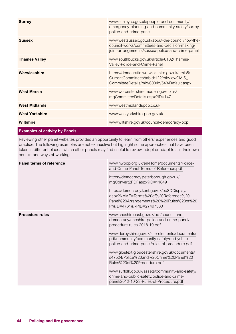| <b>Surrey</b>                         | www.surreycc.gov.uk/people-and-community/<br>emergency-planning-and-community-safety/surrey-<br>police-and-crime-panel                                |
|---------------------------------------|-------------------------------------------------------------------------------------------------------------------------------------------------------|
| <b>Sussex</b>                         | www.westsussex.gov.uk/about-the-council/how-the-<br>council-works/committees-and-decision-making/<br>joint-arrangements/sussex-police-and-crime-panel |
| <b>Thames Valley</b>                  | www.southbucks.gov.uk/article/8102/Thames-<br>Valley-Police-and-Crime-Panel                                                                           |
| Warwickshire                          | https://democratic.warwickshire.gov.uk/cmis5/<br>CurrentCommittees/tabid/122/ctl/ViewCMIS_<br>CommitteeDetails/mid/600/id/543/Default.aspx            |
| <b>West Mercia</b>                    | www.worcestershire.moderngov.co.uk/<br>mgCommitteeDetails.aspx?ID=147                                                                                 |
| <b>West Midlands</b>                  | www.westmidlandspcp.co.uk                                                                                                                             |
| <b>West Yorkshire</b>                 | www.westyorkshire-pcp.gov.uk                                                                                                                          |
| <b>Wiltshire</b>                      | www.wiltshire.gov.uk/council-democracy-pcp                                                                                                            |
| <b>Examples of activity by Panels</b> |                                                                                                                                                       |

Reviewing other panel websites provides an opportunity to learn from others' experiences and good practice. The following examples are not exhaustive but highlight some approaches that have been taken in different places, which other panels may find useful to review, adopt or adapt to suit their own context and ways of working.

| <b>Panel terms of reference</b> | www.nwpcp.org.uk/en/Home/documents/Police-<br>and-Crime-Panel-Terms-of-Reference.pdf<br>https://democracy.peterborough.gov.uk/<br>mgConvert2PDF.aspx?ID=11649<br>https://democracy.kent.gov.uk/ecSDDisplay.<br>aspx?NAME=Terms%20of%20Reference%20<br>Panel%20Arrangements%20%20Rules%20of%20<br>Pr&ID=4761&RPID=27497380                                                                                                                                                                                                                   |
|---------------------------------|---------------------------------------------------------------------------------------------------------------------------------------------------------------------------------------------------------------------------------------------------------------------------------------------------------------------------------------------------------------------------------------------------------------------------------------------------------------------------------------------------------------------------------------------|
| <b>Procedure rules</b>          | www.cheshireeast.gov.uk/pdf/council-and-<br>democracy/cheshire-police-and-crime-panel/<br>procedure-rules-2018-19.pdf<br>www.derbyshire.gov.uk/site-elements/documents/<br>pdf/community/community-safety/derbyshire-<br>police-and-crime-panel/rules-of-procedure.pdf<br>www.glostext.gloucestershire.gov.uk/documents/<br>s47524/Police%20and%20Crime%20Panel%20<br>Rules%20of%20Procedure.pdf<br>www.suffolk.gov.uk/assets/community-and-safety/<br>crime-and-public-safety/police-and-crime-<br>panel/2012-10-23-Rules-of-Procedure.pdf |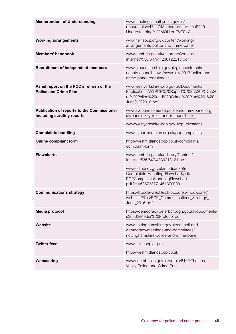| <b>Memorandum of Understanding</b>                                              | www.meetings.southyorks.gov.uk/<br>documents/s47447/Memorandum%20of%20<br>Understanding%20MOU.pdf?zTS=A                                            |
|---------------------------------------------------------------------------------|----------------------------------------------------------------------------------------------------------------------------------------------------|
| <b>Working arrangements</b>                                                     | www.hertspcp.org.uk/content/working-<br>arrangements-police-and-crime-panel                                                                        |
| <b>Members' handbook</b>                                                        | www.cumbria.gov.uk/eLibrary/Content/<br>Internet//536/647/41236122215.pdf                                                                          |
| <b>Recruitment of independent members</b>                                       | www.gloucestershire.gov.uk/gloucestershire-<br>county-council-news/news-july-2017/police-and-<br>crime-panel-recruitment                           |
| Panel report on the PCC's refresh of the<br><b>Police and Crime Plan</b>        | www.westyorkshire-pcp.gov.uk/Documents/<br>Publications/WYPCP%20Report%20to%20PCC%20<br>re%20Police%20and%20Crime%20Plan%20-%20<br>June%202018.pdf |
| <b>Publication of reports to the Commissioner</b><br>including scrutiny reports | www.avonandsomersetpoliceandcrimepanel.org.<br>uk/panels-key-roles-and-responsibilities<br>www.westyorkshire-pcp.gov.uk/publications               |
| <b>Complaints handling</b>                                                      | www.nypartnerships.org.uk/pcpcomplaints                                                                                                            |
| <b>Online complaint form</b>                                                    | http://westmidlandspcp.co.uk/complaints/<br>complaint-form                                                                                         |
| <b>Flowcharts</b>                                                               | www.cumbria.gov.uk/elibrary/Content/<br>Internet/536/647/4339213121.pdf                                                                            |
|                                                                                 | www.e-lindsey.gov.uk/media/5355/<br>Complaints-Handling-Flowchart/pdf/<br>PCPComplaintsHandlingFlowchart.<br>pdf?m=636733771461370000              |
| <b>Communications strategy</b>                                                  | https://bbcdevwebfiles.blob.core.windows.net/<br>webfiles/Files/PCP_Communications_Strategy_<br>June_2016.pdf                                      |
| <b>Media protocol</b>                                                           | https://democracy.peterborough.gov.uk/documents/<br>s36832/Media%20Protocol.pdf                                                                    |
| <b>Website</b>                                                                  | www.nottinghamshire.gov.uk/council-and-<br>democracy/meetings-and-committees/<br>nottinghamshire-police-and-crime-panel                            |
| <b>Twitter feed</b>                                                             | www.hertspcp.org.uk                                                                                                                                |
|                                                                                 | http://westmidlandspcp.co.uk                                                                                                                       |
| Webcasting                                                                      | www.southbucks.gov.uk/article/8102/Thames-<br>Valley-Police-and-Crime-Panel                                                                        |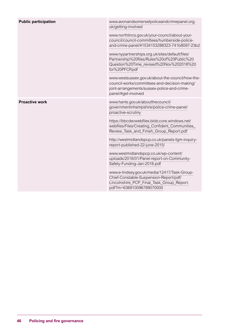| <b>Public participation</b> | www.avonandsomersetpoliceandcrimepanel.org.<br>uk/getting-involved                                                                                                      |
|-----------------------------|-------------------------------------------------------------------------------------------------------------------------------------------------------------------------|
|                             | www.northlincs.gov.uk/your-council/about-your-<br>council/council-committees/humberside-police-<br>and-crime-panel/#1534153288323-741b8097-23b2                         |
|                             | www.nypartnerships.org.uk/sites/default/files/<br>Partnership%20files/Rules%20of%20Public%20<br>Question%20Time_revised%20Nov%202018%20<br>for%20PFCP.pdf               |
|                             | www.westsussex.gov.uk/about-the-council/how-the-<br>council-works/committees-and-decision-making/<br>joint-arrangements/sussex-police-and-crime-<br>panel/#get-involved |
| <b>Proactive work</b>       | www.hants.gov.uk/aboutthecouncil/<br>governmentinhampshire/police-crime-panel/<br>proactive-scrutiny                                                                    |
|                             | https://bbcdevwebfiles.blob.core.windows.net/<br>webfiles/Files/Creating_Confident_Communities_<br>Review_Task_and_Finish_Group_Report.pdf                              |
|                             | http://westmidlandspcp.co.uk/panels-fgm-inquiry-                                                                                                                        |
|                             | report-published-22-june-2015/                                                                                                                                          |
|                             | www.westmidlandspcp.co.uk/wp-content/                                                                                                                                   |
|                             | uploads/2016/01/Panel-report-on-Community-                                                                                                                              |
|                             | Safety-Funding-Jan-2016.pdf                                                                                                                                             |
|                             | www.e-lindsey.gov.uk/media/12417/Task-Group-                                                                                                                            |
|                             | Chief-Constable-Suspension-Report/pdf/                                                                                                                                  |
|                             | Lincolnshire_PCP_Final_Task_Group_Report.                                                                                                                               |
|                             | pdf?m=636910096789070000                                                                                                                                                |